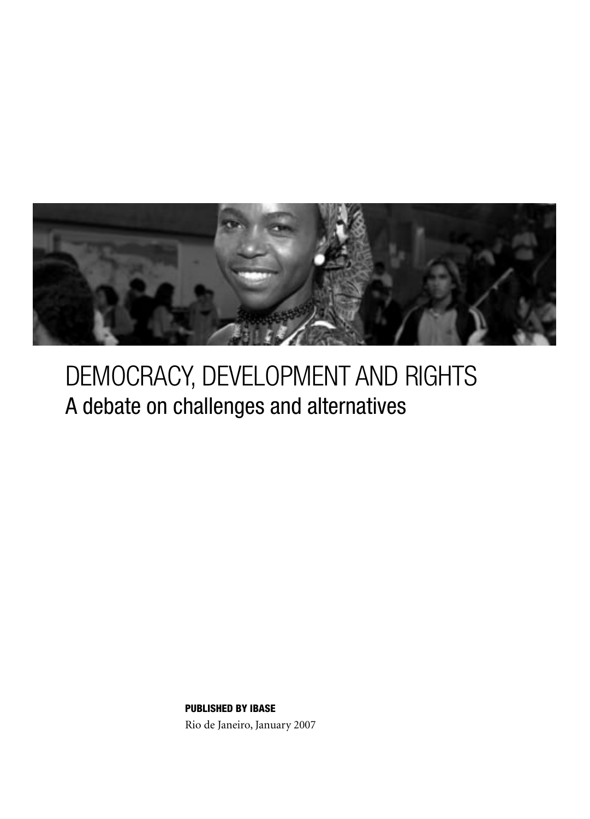

# DEMOCRACY, DEVELOPMENT AND RIGHTS A debate on challenges and alternatives

PUBLISHED BY IBASE Rio de Janeiro, January 2007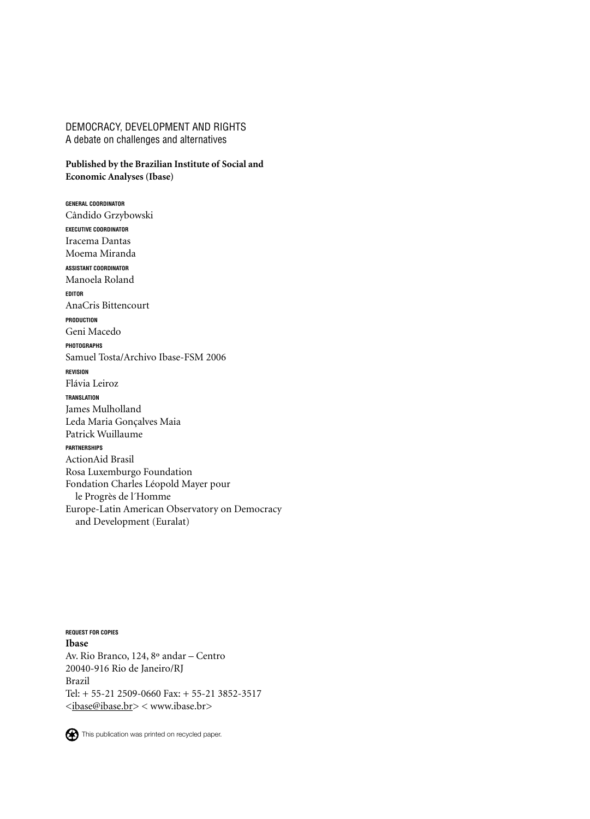#### DEMOCRACY, DEVELOPMENT AND RIGHTS A debate on challenges and alternatives

**Published by the Brazilian Institute of Social and Economic Analyses (Ibase)**

**GENERAL COORDINATOR**  Cândido Grzybowski **EXECUTIVE COORDINATOR** Iracema Dantas Moema Miranda **ASSISTANT COORDINATOR** Manoela Roland **EDITOR** AnaCris Bittencourt **PRODUCTION**  Geni Macedo **PHOTOGRAPHS** Samuel Tosta/Archivo Ibase-FSM 2006 **REVISION** Flávia Leiroz **TRANSLATION** James Mulholland Leda Maria Gonçalves Maia Patrick Wuillaume **PARTNERSHIPS** ActionAid Brasil Rosa Luxemburgo Foundation Fondation Charles Léopold Mayer pour le Progrès de l´Homme Europe-Latin American Observatory on Democracy and Development (Euralat)

**REQUEST FOR COPIES Ibase** Av. Rio Branco, 124, 8º andar – Centro 20040-916 Rio de Janeiro/RJ Brazil Tel: + 55-21 2509-0660 Fax: + 55-21 3852-3517 <ibase@ibase.br> < www.ibase.br>



This publication was printed on recycled paper.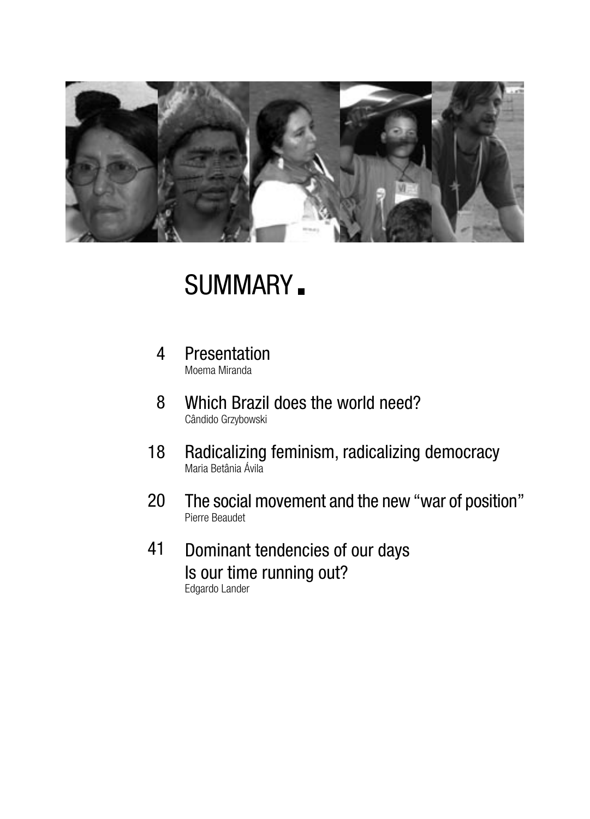

# SUMMARY

- Presentation Moema Miranda 4
- Which Brazil does the world need? Cândido Grzybowski 8
- Radicalizing feminism, radicalizing democracy Maria Betânia Ávila 18
- The social movement and the new "war of position" Pierre Beaudet 20
- Dominant tendencies of our days Is our time running out? Edgardo Lander 41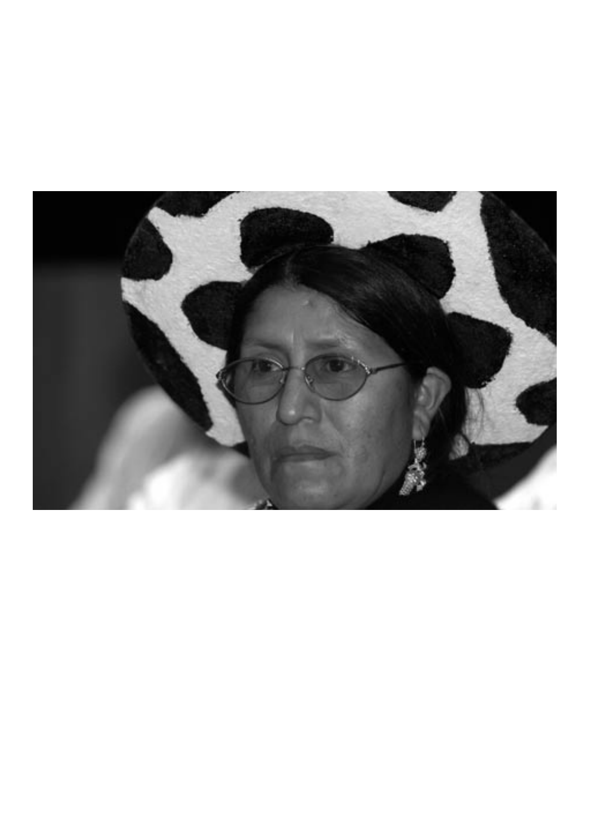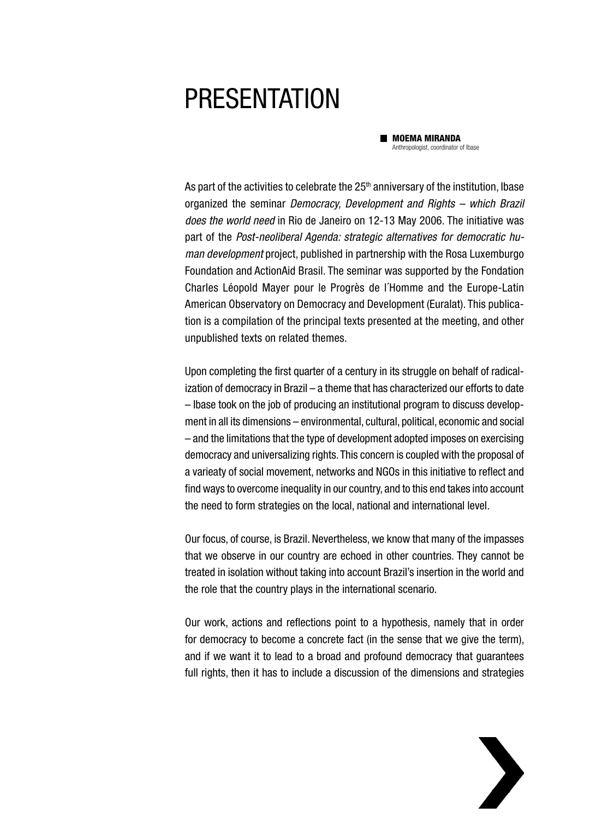# **PRESENTATION**

**MOEMA MIRANDA** Anthropologist, coordinator of Ibase

As part of the activities to celebrate the  $25<sup>th</sup>$  anniversary of the institution, Ibase organized the seminar Democracy, Development and Rights – which Brazil does the world need in Rio de Janeiro on 12-13 May 2006. The initiative was part of the Post-neoliberal Agenda: strategic alternatives for democratic human development project, published in partnership with the Rosa Luxemburgo Foundation and ActionAid Brasil. The seminar was supported by the Fondation Charles Léopold Mayer pour le Progrès de l´Homme and the Europe-Latin American Observatory on Democracy and Development (Euralat). This publication is a compilation of the principal texts presented at the meeting, and other unpublished texts on related themes.

Upon completing the first quarter of a century in its struggle on behalf of radicalization of democracy in Brazil – a theme that has characterized our efforts to date – Ibase took on the job of producing an institutional program to discuss development in all its dimensions – environmental, cultural, political, economic and social – and the limitations that the type of development adopted imposes on exercising democracy and universalizing rights. This concern is coupled with the proposal of a varieaty of social movement, networks and NGOs in this initiative to reflect and find ways to overcome inequality in our country, and to this end takes into account the need to form strategies on the local, national and international level.

Our focus, of course, is Brazil. Nevertheless, we know that many of the impasses that we observe in our country are echoed in other countries. They cannot be treated in isolation without taking into account Brazil's insertion in the world and the role that the country plays in the international scenario.

Our work, actions and reflections point to a hypothesis, namely that in order for democracy to become a concrete fact (in the sense that we give the term), and if we want it to lead to a broad and profound democracy that guarantees full rights, then it has to include a discussion of the dimensions and strategies

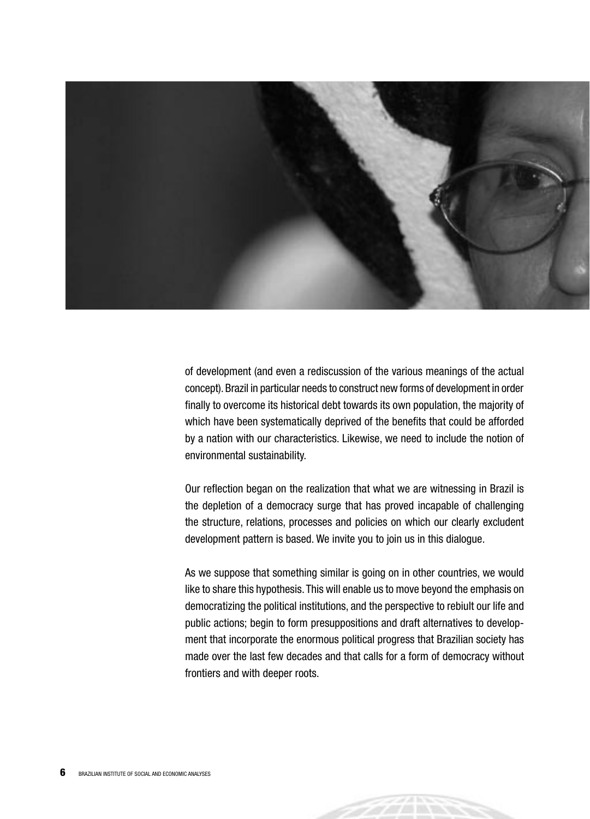

of development (and even a rediscussion of the various meanings of the actual concept). Brazil in particular needs to construct new forms of development in order finally to overcome its historical debt towards its own population, the majority of which have been systematically deprived of the benefits that could be afforded by a nation with our characteristics. Likewise, we need to include the notion of environmental sustainability.

Our reflection began on the realization that what we are witnessing in Brazil is the depletion of a democracy surge that has proved incapable of challenging the structure, relations, processes and policies on which our clearly excludent development pattern is based. We invite you to join us in this dialogue.

As we suppose that something similar is going on in other countries, we would like to share this hypothesis. This will enable us to move beyond the emphasis on democratizing the political institutions, and the perspective to rebiult our life and public actions; begin to form presuppositions and draft alternatives to development that incorporate the enormous political progress that Brazilian society has made over the last few decades and that calls for a form of democracy without frontiers and with deeper roots.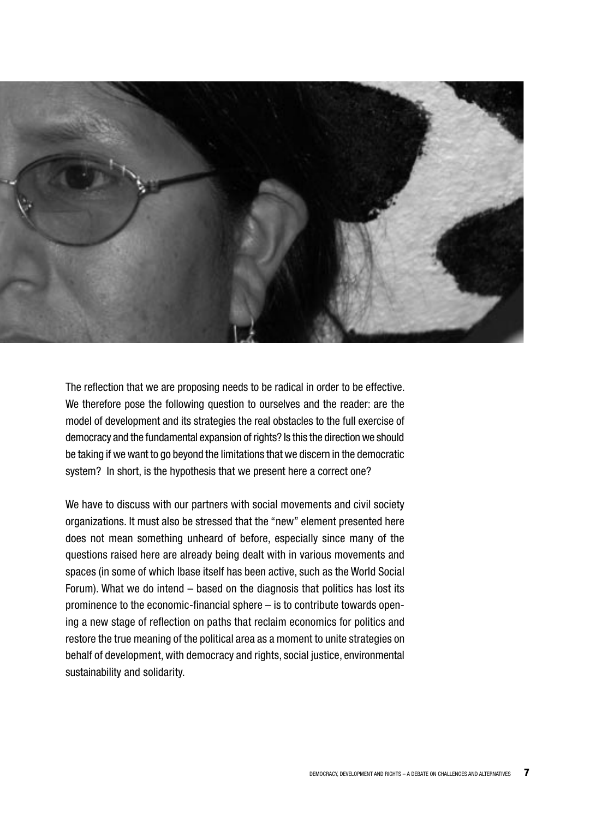

The reflection that we are proposing needs to be radical in order to be effective. We therefore pose the following question to ourselves and the reader: are the model of development and its strategies the real obstacles to the full exercise of democracy and the fundamental expansion of rights? Is this the direction we should be taking if we want to go beyond the limitations that we discern in the democratic system? In short, is the hypothesis that we present here a correct one?

We have to discuss with our partners with social movements and civil society organizations. It must also be stressed that the "new" element presented here does not mean something unheard of before, especially since many of the questions raised here are already being dealt with in various movements and spaces (in some of which Ibase itself has been active, such as the World Social Forum). What we do intend – based on the diagnosis that politics has lost its prominence to the economic-financial sphere – is to contribute towards opening a new stage of reflection on paths that reclaim economics for politics and restore the true meaning of the political area as a moment to unite strategies on behalf of development, with democracy and rights, social justice, environmental sustainability and solidarity.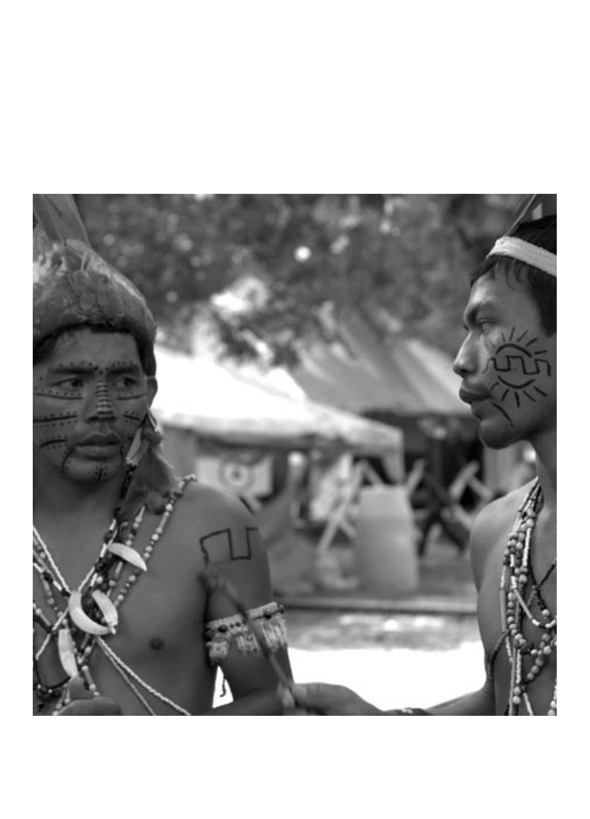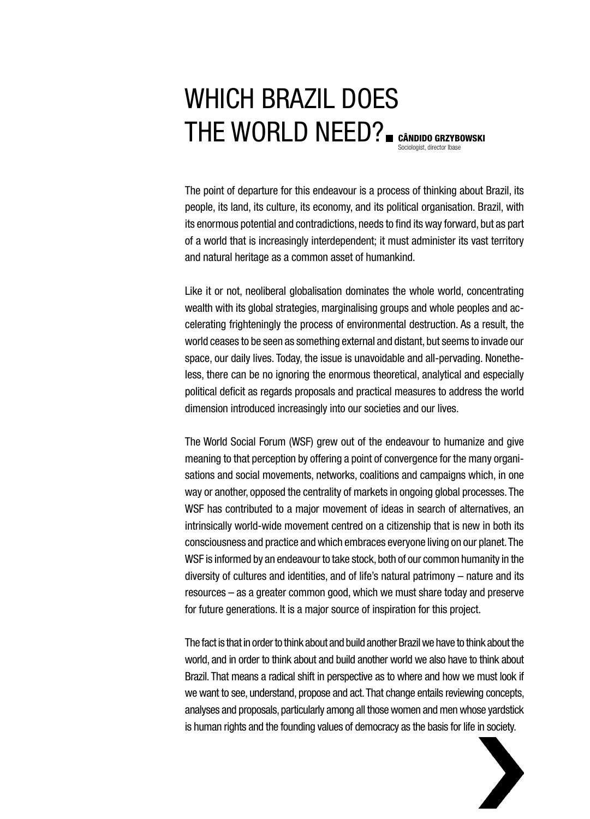# WHICH BRAZIL DOES THE WORLD NEED? **Exandido Grzybowski** Sociologist, director Ibase

The point of departure for this endeavour is a process of thinking about Brazil, its people, its land, its culture, its economy, and its political organisation. Brazil, with its enormous potential and contradictions, needs to find its way forward, but as part of a world that is increasingly interdependent; it must administer its vast territory and natural heritage as a common asset of humankind.

Like it or not, neoliberal globalisation dominates the whole world, concentrating wealth with its global strategies, marginalising groups and whole peoples and accelerating frighteningly the process of environmental destruction. As a result, the world ceases to be seen as something external and distant, but seems to invade our space, our daily lives. Today, the issue is unavoidable and all-pervading. Nonetheless, there can be no ignoring the enormous theoretical, analytical and especially political deficit as regards proposals and practical measures to address the world dimension introduced increasingly into our societies and our lives.

The World Social Forum (WSF) grew out of the endeavour to humanize and give meaning to that perception by offering a point of convergence for the many organisations and social movements, networks, coalitions and campaigns which, in one way or another, opposed the centrality of markets in ongoing global processes. The WSF has contributed to a major movement of ideas in search of alternatives, an intrinsically world-wide movement centred on a citizenship that is new in both its consciousness and practice and which embraces everyone living on our planet. The WSF is informed by an endeavour to take stock, both of our common humanity in the diversity of cultures and identities, and of life's natural patrimony – nature and its resources – as a greater common good, which we must share today and preserve for future generations. It is a major source of inspiration for this project.

The fact is that in order to think about and build another Brazil we have to think about the world, and in order to think about and build another world we also have to think about Brazil. That means a radical shift in perspective as to where and how we must look if we want to see, understand, propose and act. That change entails reviewing concepts, analyses and proposals, particularly among all those women and men whose yardstick is human rights and the founding values of democracy as the basis for life in society.

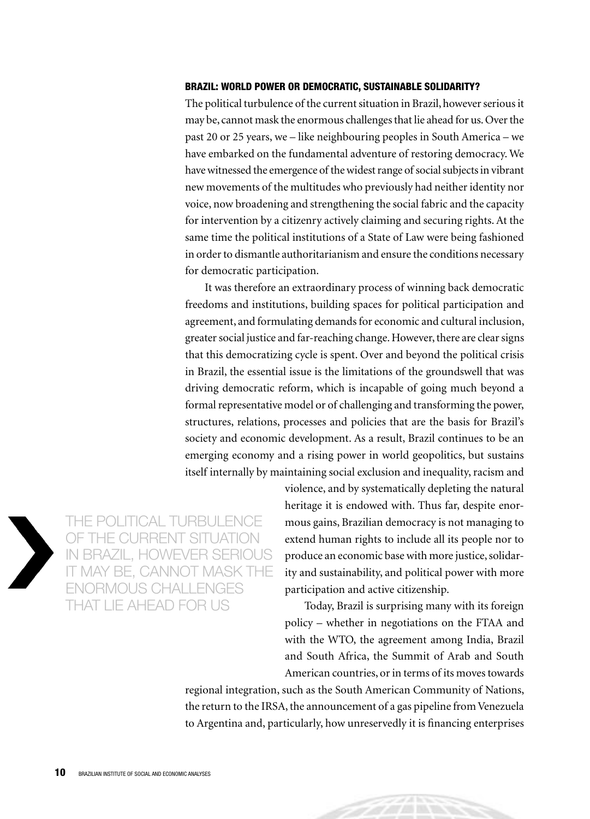#### BRAZIL: WORLD POWER OR DEMOCRATIC, SUSTAINABLE SOLIDARITY?

The political turbulence of the current situation in Brazil, however serious it may be, cannot mask the enormous challenges that lie ahead for us. Over the past 20 or 25 years, we – like neighbouring peoples in South America – we have embarked on the fundamental adventure of restoring democracy. We have witnessed the emergence of the widest range of social subjects in vibrant new movements of the multitudes who previously had neither identity nor voice, now broadening and strengthening the social fabric and the capacity for intervention by a citizenry actively claiming and securing rights. At the same time the political institutions of a State of Law were being fashioned in order to dismantle authoritarianism and ensure the conditions necessary for democratic participation.

It was therefore an extraordinary process of winning back democratic freedoms and institutions, building spaces for political participation and agreement, and formulating demands for economic and cultural inclusion, greater social justice and far-reaching change. However, there are clear signs that this democratizing cycle is spent. Over and beyond the political crisis in Brazil, the essential issue is the limitations of the groundswell that was driving democratic reform, which is incapable of going much beyond a formal representative model or of challenging and transforming the power, structures, relations, processes and policies that are the basis for Brazil's society and economic development. As a result, Brazil continues to be an emerging economy and a rising power in world geopolitics, but sustains itself internally by maintaining social exclusion and inequality, racism and



THE POLITICAL TURBULENCE JRRENT SITUATION **IFR SFRIOUS** IT MAY BE, CANNOT MASK THE IORMOUS CHALLENGES THAT LIE AHEAD FOR US

violence, and by systematically depleting the natural heritage it is endowed with. Thus far, despite enormous gains, Brazilian democracy is not managing to extend human rights to include all its people nor to produce an economic base with more justice, solidarity and sustainability, and political power with more participation and active citizenship.

Today, Brazil is surprising many with its foreign policy – whether in negotiations on the FTAA and with the WTO, the agreement among India, Brazil and South Africa, the Summit of Arab and South American countries, or in terms of its moves towards

regional integration, such as the South American Community of Nations, the return to the IRSA, the announcement of a gas pipeline from Venezuela to Argentina and, particularly, how unreservedly it is financing enterprises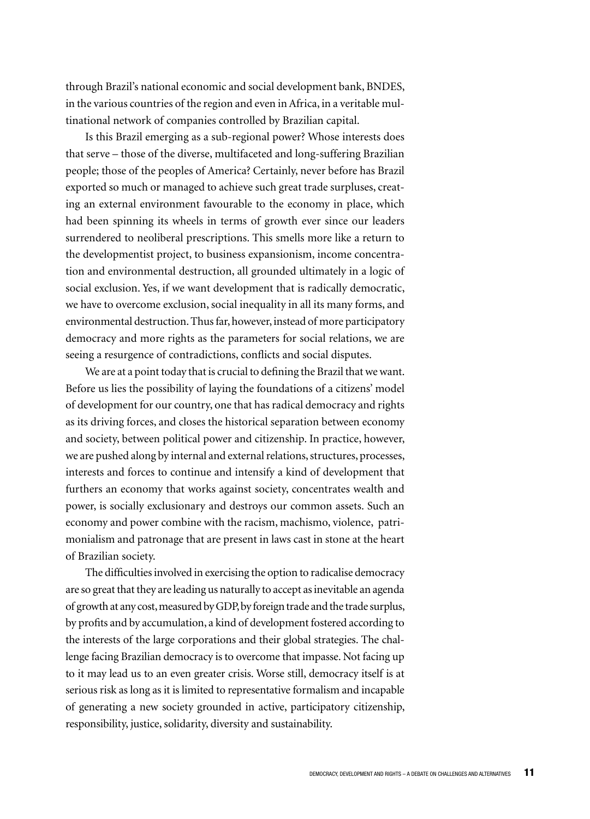through Brazil's national economic and social development bank, BNDES, in the various countries of the region and even in Africa, in a veritable multinational network of companies controlled by Brazilian capital.

Is this Brazil emerging as a sub-regional power? Whose interests does that serve – those of the diverse, multifaceted and long-suffering Brazilian people; those of the peoples of America? Certainly, never before has Brazil exported so much or managed to achieve such great trade surpluses, creating an external environment favourable to the economy in place, which had been spinning its wheels in terms of growth ever since our leaders surrendered to neoliberal prescriptions. This smells more like a return to the developmentist project, to business expansionism, income concentration and environmental destruction, all grounded ultimately in a logic of social exclusion. Yes, if we want development that is radically democratic, we have to overcome exclusion, social inequality in all its many forms, and environmental destruction. Thus far, however, instead of more participatory democracy and more rights as the parameters for social relations, we are seeing a resurgence of contradictions, conflicts and social disputes.

We are at a point today that is crucial to defining the Brazil that we want. Before us lies the possibility of laying the foundations of a citizens' model of development for our country, one that has radical democracy and rights as its driving forces, and closes the historical separation between economy and society, between political power and citizenship. In practice, however, we are pushed along by internal and external relations, structures, processes, interests and forces to continue and intensify a kind of development that furthers an economy that works against society, concentrates wealth and power, is socially exclusionary and destroys our common assets. Such an economy and power combine with the racism, machismo, violence, patrimonialism and patronage that are present in laws cast in stone at the heart of Brazilian society.

The difficulties involved in exercising the option to radicalise democracy are so great that they are leading us naturally to accept as inevitable an agenda of growth at any cost, measured by GDP, by foreign trade and the trade surplus, by profits and by accumulation, a kind of development fostered according to the interests of the large corporations and their global strategies. The challenge facing Brazilian democracy is to overcome that impasse. Not facing up to it may lead us to an even greater crisis. Worse still, democracy itself is at serious risk as long as it is limited to representative formalism and incapable of generating a new society grounded in active, participatory citizenship, responsibility, justice, solidarity, diversity and sustainability.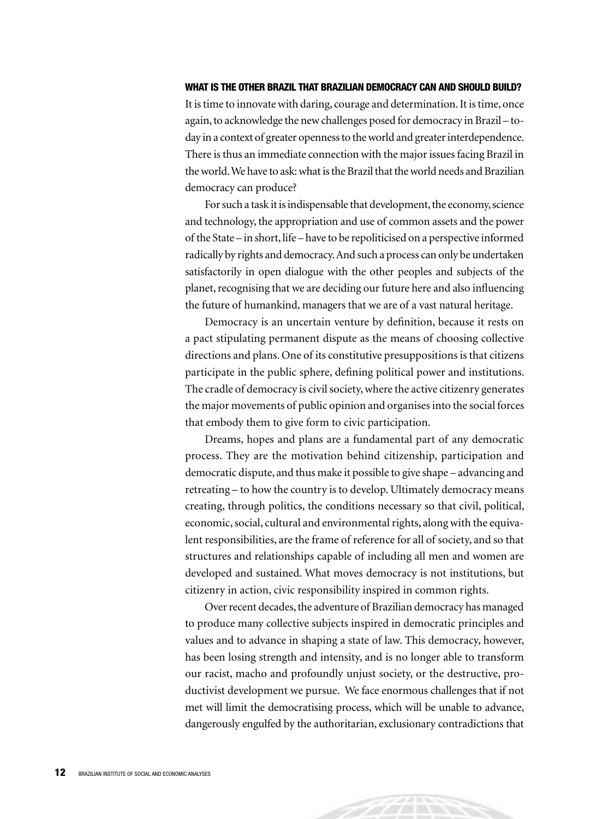#### WHAT IS THE OTHER BRAZIL THAT BRAZILIAN DEMOCRACY CAN AND SHOULD BUILD?

It is time to innovate with daring, courage and determination. It is time, once again, to acknowledge the new challenges posed for democracy in Brazil – today in a context of greater openness to the world and greater interdependence. There is thus an immediate connection with the major issues facing Brazil in the world. We have to ask: what is the Brazil that the world needs and Brazilian democracy can produce?

For such a task it is indispensable that development, the economy, science and technology, the appropriation and use of common assets and the power of the State – in short, life – have to be repoliticised on a perspective informed radically by rights and democracy. And such a process can only be undertaken satisfactorily in open dialogue with the other peoples and subjects of the planet, recognising that we are deciding our future here and also influencing the future of humankind, managers that we are of a vast natural heritage.

Democracy is an uncertain venture by definition, because it rests on a pact stipulating permanent dispute as the means of choosing collective directions and plans. One of its constitutive presuppositions is that citizens participate in the public sphere, defining political power and institutions. The cradle of democracy is civil society, where the active citizenry generates the major movements of public opinion and organises into the social forces that embody them to give form to civic participation.

Dreams, hopes and plans are a fundamental part of any democratic process. They are the motivation behind citizenship, participation and democratic dispute, and thus make it possible to give shape – advancing and retreating – to how the country is to develop. Ultimately democracy means creating, through politics, the conditions necessary so that civil, political, economic, social, cultural and environmental rights, along with the equivalent responsibilities, are the frame of reference for all of society, and so that structures and relationships capable of including all men and women are developed and sustained. What moves democracy is not institutions, but citizenry in action, civic responsibility inspired in common rights.

Over recent decades, the adventure of Brazilian democracy has managed to produce many collective subjects inspired in democratic principles and values and to advance in shaping a state of law. This democracy, however, has been losing strength and intensity, and is no longer able to transform our racist, macho and profoundly unjust society, or the destructive, productivist development we pursue. We face enormous challenges that if not met will limit the democratising process, which will be unable to advance, dangerously engulfed by the authoritarian, exclusionary contradictions that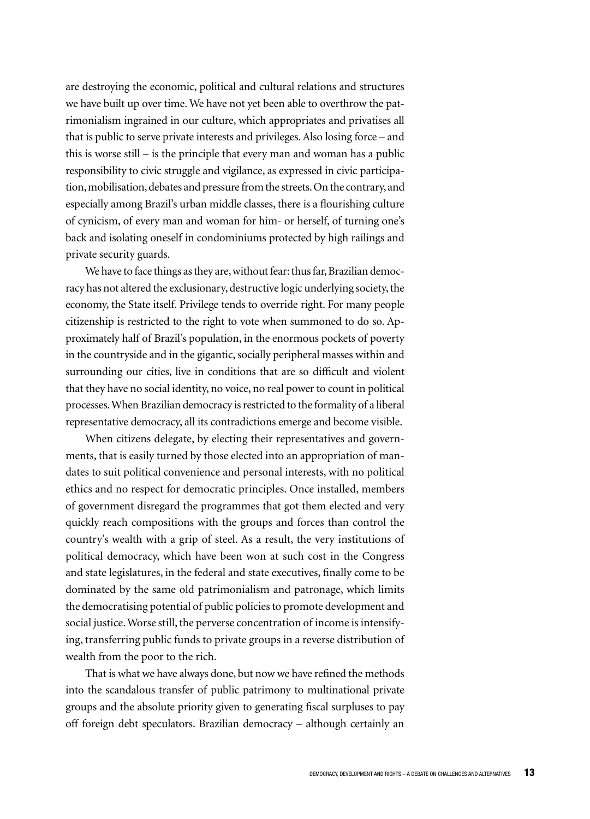are destroying the economic, political and cultural relations and structures we have built up over time. We have not yet been able to overthrow the patrimonialism ingrained in our culture, which appropriates and privatises all that is public to serve private interests and privileges. Also losing force – and this is worse still – is the principle that every man and woman has a public responsibility to civic struggle and vigilance, as expressed in civic participation, mobilisation, debates and pressure from the streets. On the contrary, and especially among Brazil's urban middle classes, there is a flourishing culture of cynicism, of every man and woman for him- or herself, of turning one's back and isolating oneself in condominiums protected by high railings and private security guards.

We have to face things as they are, without fear: thus far, Brazilian democracy has not altered the exclusionary, destructive logic underlying society, the economy, the State itself. Privilege tends to override right. For many people citizenship is restricted to the right to vote when summoned to do so. Approximately half of Brazil's population, in the enormous pockets of poverty in the countryside and in the gigantic, socially peripheral masses within and surrounding our cities, live in conditions that are so difficult and violent that they have no social identity, no voice, no real power to count in political processes. When Brazilian democracy is restricted to the formality of a liberal representative democracy, all its contradictions emerge and become visible.

When citizens delegate, by electing their representatives and governments, that is easily turned by those elected into an appropriation of mandates to suit political convenience and personal interests, with no political ethics and no respect for democratic principles. Once installed, members of government disregard the programmes that got them elected and very quickly reach compositions with the groups and forces than control the country's wealth with a grip of steel. As a result, the very institutions of political democracy, which have been won at such cost in the Congress and state legislatures, in the federal and state executives, finally come to be dominated by the same old patrimonialism and patronage, which limits the democratising potential of public policies to promote development and social justice. Worse still, the perverse concentration of income is intensifying, transferring public funds to private groups in a reverse distribution of wealth from the poor to the rich.

That is what we have always done, but now we have refined the methods into the scandalous transfer of public patrimony to multinational private groups and the absolute priority given to generating fiscal surpluses to pay off foreign debt speculators. Brazilian democracy – although certainly an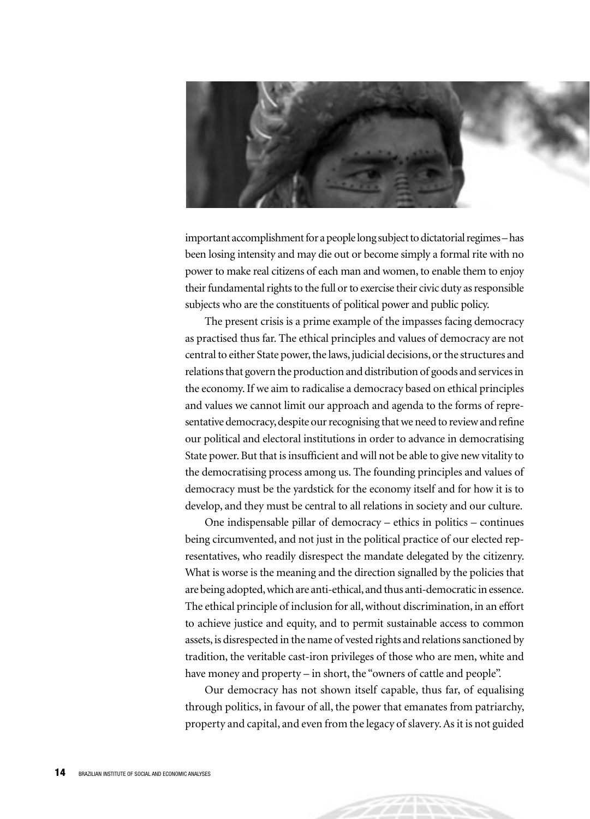

important accomplishment for a people long subject to dictatorial regimes – has been losing intensity and may die out or become simply a formal rite with no power to make real citizens of each man and women, to enable them to enjoy their fundamental rights to the full or to exercise their civic duty as responsible subjects who are the constituents of political power and public policy.

The present crisis is a prime example of the impasses facing democracy as practised thus far. The ethical principles and values of democracy are not central to either State power, the laws, judicial decisions, or the structures and relations that govern the production and distribution of goods and services in the economy. If we aim to radicalise a democracy based on ethical principles and values we cannot limit our approach and agenda to the forms of representative democracy, despite our recognising that we need to review and refine our political and electoral institutions in order to advance in democratising State power. But that is insufficient and will not be able to give new vitality to the democratising process among us. The founding principles and values of democracy must be the yardstick for the economy itself and for how it is to develop, and they must be central to all relations in society and our culture.

One indispensable pillar of democracy – ethics in politics – continues being circumvented, and not just in the political practice of our elected representatives, who readily disrespect the mandate delegated by the citizenry. What is worse is the meaning and the direction signalled by the policies that are being adopted, which are anti-ethical, and thus anti-democratic in essence. The ethical principle of inclusion for all, without discrimination, in an effort to achieve justice and equity, and to permit sustainable access to common assets, is disrespected in the name of vested rights and relations sanctioned by tradition, the veritable cast-iron privileges of those who are men, white and have money and property – in short, the "owners of cattle and people".

Our democracy has not shown itself capable, thus far, of equalising through politics, in favour of all, the power that emanates from patriarchy, property and capital, and even from the legacy of slavery. As it is not guided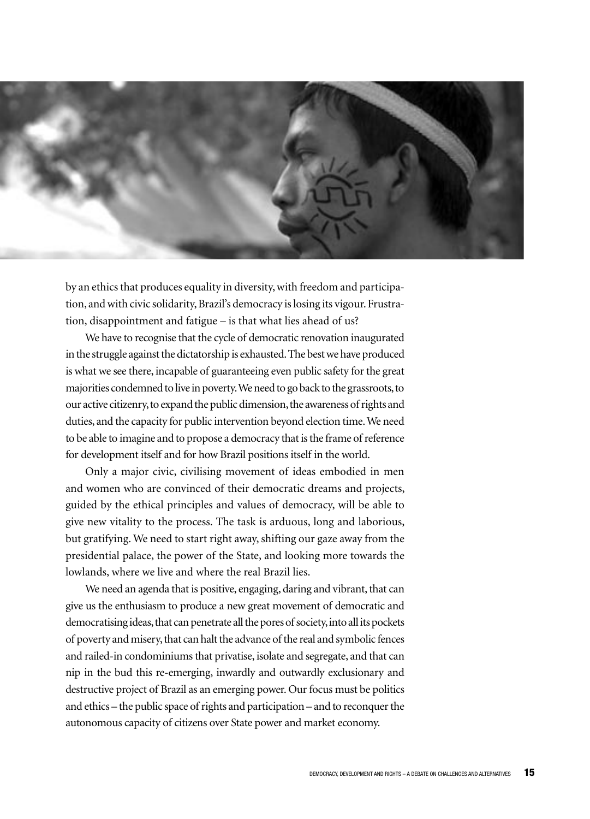

by an ethics that produces equality in diversity, with freedom and participation, and with civic solidarity, Brazil's democracy is losing its vigour. Frustration, disappointment and fatigue – is that what lies ahead of us?

We have to recognise that the cycle of democratic renovation inaugurated in the struggle against the dictatorship is exhausted. The best we have produced is what we see there, incapable of guaranteeing even public safety for the great majorities condemned to live in poverty. We need to go back to the grassroots, to our active citizenry, to expand the public dimension, the awareness of rights and duties, and the capacity for public intervention beyond election time. We need to be able to imagine and to propose a democracy that is the frame of reference for development itself and for how Brazil positions itself in the world.

Only a major civic, civilising movement of ideas embodied in men and women who are convinced of their democratic dreams and projects, guided by the ethical principles and values of democracy, will be able to give new vitality to the process. The task is arduous, long and laborious, but gratifying. We need to start right away, shifting our gaze away from the presidential palace, the power of the State, and looking more towards the lowlands, where we live and where the real Brazil lies.

We need an agenda that is positive, engaging, daring and vibrant, that can give us the enthusiasm to produce a new great movement of democratic and democratising ideas, that can penetrate all the pores of society, into all its pockets of poverty and misery, that can halt the advance of the real and symbolic fences and railed-in condominiums that privatise, isolate and segregate, and that can nip in the bud this re-emerging, inwardly and outwardly exclusionary and destructive project of Brazil as an emerging power. Our focus must be politics and ethics – the public space of rights and participation – and to reconquer the autonomous capacity of citizens over State power and market economy.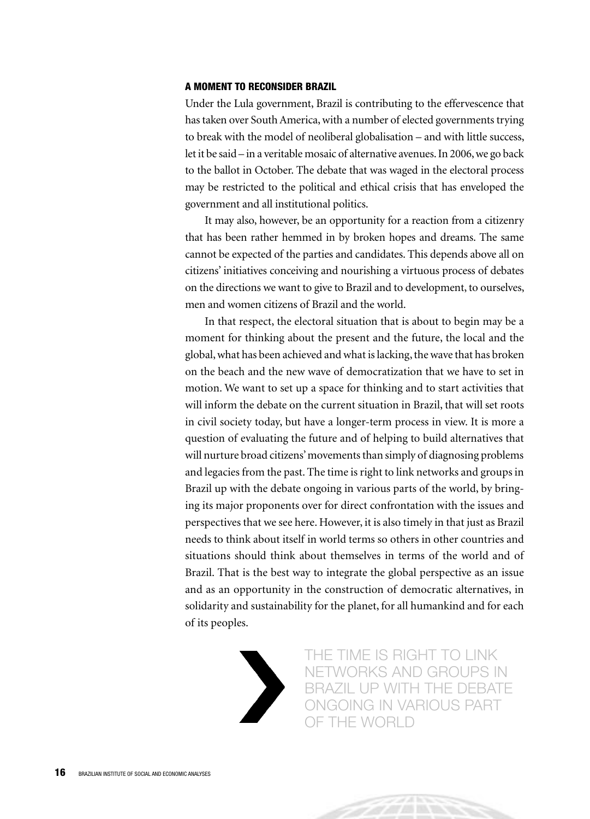# A MOMENT TO RECONSIDER BRAZIL

Under the Lula government, Brazil is contributing to the effervescence that has taken over South America, with a number of elected governments trying to break with the model of neoliberal globalisation – and with little success, let it be said – in a veritable mosaic of alternative avenues. In 2006, we go back to the ballot in October. The debate that was waged in the electoral process may be restricted to the political and ethical crisis that has enveloped the government and all institutional politics.

It may also, however, be an opportunity for a reaction from a citizenry that has been rather hemmed in by broken hopes and dreams. The same cannot be expected of the parties and candidates. This depends above all on citizens' initiatives conceiving and nourishing a virtuous process of debates on the directions we want to give to Brazil and to development, to ourselves, men and women citizens of Brazil and the world.

In that respect, the electoral situation that is about to begin may be a moment for thinking about the present and the future, the local and the global, what has been achieved and what is lacking, the wave that has broken on the beach and the new wave of democratization that we have to set in motion. We want to set up a space for thinking and to start activities that will inform the debate on the current situation in Brazil, that will set roots in civil society today, but have a longer-term process in view. It is more a question of evaluating the future and of helping to build alternatives that will nurture broad citizens' movements than simply of diagnosing problems and legacies from the past. The time is right to link networks and groups in Brazil up with the debate ongoing in various parts of the world, by bringing its major proponents over for direct confrontation with the issues and perspectives that we see here. However, it is also timely in that just as Brazil needs to think about itself in world terms so others in other countries and situations should think about themselves in terms of the world and of Brazil. That is the best way to integrate the global perspective as an issue and as an opportunity in the construction of democratic alternatives, in solidarity and sustainability for the planet, for all humankind and for each of its peoples.



THE TIME IS RIGHT TO LINK NETWORKS AND GROUPS IN RAZIL UP WITH THE DEBATE **NGOING IN VARIOUS PART** OF THE WORLD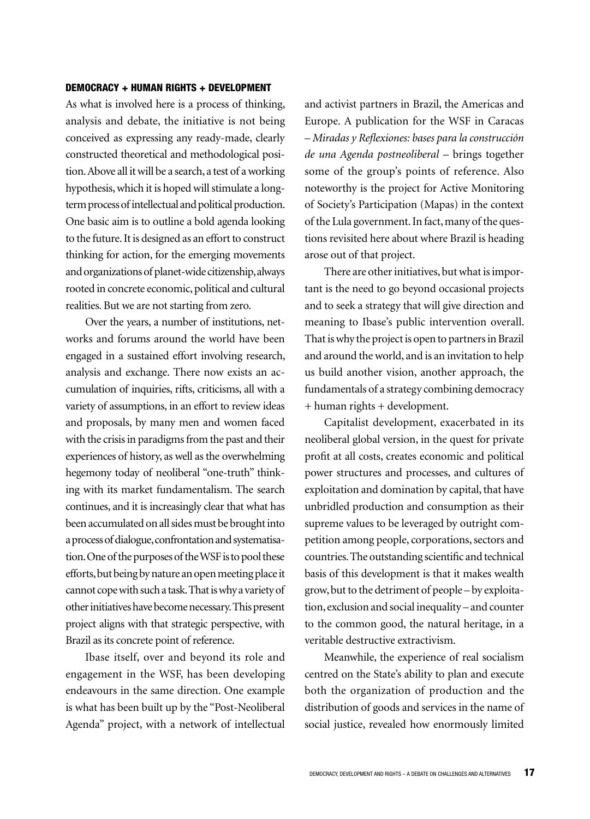#### DEMOCRACY + HUMAN RIGHTS + DEVELOPMENT

As what is involved here is a process of thinking, analysis and debate, the initiative is not being conceived as expressing any ready-made, clearly constructed theoretical and methodological position. Above all it will be a search, a test of a working hypothesis, which it is hoped will stimulate a longterm process of intellectual and political production. One basic aim is to outline a bold agenda looking to the future. It is designed as an effort to construct thinking for action, for the emerging movements and organizations of planet-wide citizenship, always rooted in concrete economic, political and cultural realities. But we are not starting from zero.

Over the years, a number of institutions, networks and forums around the world have been engaged in a sustained effort involving research, analysis and exchange. There now exists an accumulation of inquiries, rifts, criticisms, all with a variety of assumptions, in an effort to review ideas and proposals, by many men and women faced with the crisis in paradigms from the past and their experiences of history, as well as the overwhelming hegemony today of neoliberal "one-truth" thinking with its market fundamentalism. The search continues, and it is increasingly clear that what has been accumulated on all sides must be brought into a process of dialogue, confrontation and systematisation. One of the purposes of the WSF is to pool these efforts, but being by nature an open meeting place it cannot cope with such a task. That is why a variety of other initiatives have become necessary. This present project aligns with that strategic perspective, with Brazil as its concrete point of reference.

Ibase itself, over and beyond its role and engagement in the WSF, has been developing endeavours in the same direction. One example is what has been built up by the "Post-Neoliberal Agenda" project, with a network of intellectual

and activist partners in Brazil, the Americas and Europe. A publication for the WSF in Caracas – *Miradas y Reflexiones: bases para la construcción de una Agenda postneoliberal* – brings together some of the group's points of reference. Also noteworthy is the project for Active Monitoring of Society's Participation (Mapas) in the context of the Lula government. In fact, many of the questions revisited here about where Brazil is heading arose out of that project.

There are other initiatives, but what is important is the need to go beyond occasional projects and to seek a strategy that will give direction and meaning to Ibase's public intervention overall. That is why the project is open to partners in Brazil and around the world, and is an invitation to help us build another vision, another approach, the fundamentals of a strategy combining democracy + human rights + development.

Capitalist development, exacerbated in its neoliberal global version, in the quest for private profit at all costs, creates economic and political power structures and processes, and cultures of exploitation and domination by capital, that have unbridled production and consumption as their supreme values to be leveraged by outright competition among people, corporations, sectors and countries. The outstanding scientific and technical basis of this development is that it makes wealth grow, but to the detriment of people – by exploitation, exclusion and social inequality – and counter to the common good, the natural heritage, in a veritable destructive extractivism.

Meanwhile, the experience of real socialism centred on the State's ability to plan and execute both the organization of production and the distribution of goods and services in the name of social justice, revealed how enormously limited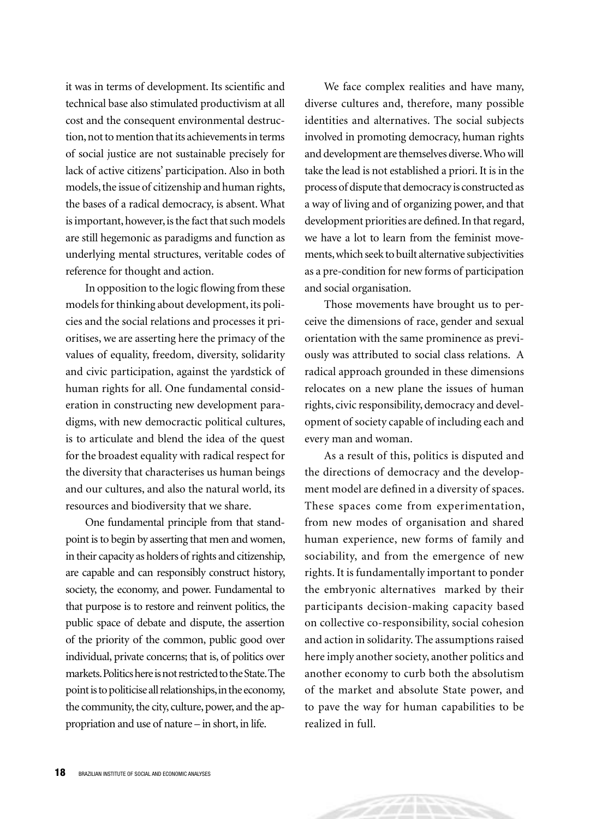it was in terms of development. Its scientific and technical base also stimulated productivism at all cost and the consequent environmental destruction, not to mention that its achievements in terms of social justice are not sustainable precisely for lack of active citizens' participation. Also in both models, the issue of citizenship and human rights, the bases of a radical democracy, is absent. What is important, however, is the fact that such models are still hegemonic as paradigms and function as underlying mental structures, veritable codes of reference for thought and action.

In opposition to the logic flowing from these models for thinking about development, its policies and the social relations and processes it prioritises, we are asserting here the primacy of the values of equality, freedom, diversity, solidarity and civic participation, against the yardstick of human rights for all. One fundamental consideration in constructing new development paradigms, with new democractic political cultures, is to articulate and blend the idea of the quest for the broadest equality with radical respect for the diversity that characterises us human beings and our cultures, and also the natural world, its resources and biodiversity that we share.

One fundamental principle from that standpoint is to begin by asserting that men and women, in their capacity as holders of rights and citizenship, are capable and can responsibly construct history, society, the economy, and power. Fundamental to that purpose is to restore and reinvent politics, the public space of debate and dispute, the assertion of the priority of the common, public good over individual, private concerns; that is, of politics over markets. Politics here is not restricted to the State. The point is to politicise all relationships, in the economy, the community, the city, culture, power, and the appropriation and use of nature – in short, in life.

We face complex realities and have many, diverse cultures and, therefore, many possible identities and alternatives. The social subjects involved in promoting democracy, human rights and development are themselves diverse. Who will take the lead is not established a priori. It is in the process of dispute that democracy is constructed as a way of living and of organizing power, and that development priorities are defined. In that regard, we have a lot to learn from the feminist movements, which seek to built alternative subjectivities as a pre-condition for new forms of participation and social organisation.

Those movements have brought us to perceive the dimensions of race, gender and sexual orientation with the same prominence as previously was attributed to social class relations. A radical approach grounded in these dimensions relocates on a new plane the issues of human rights, civic responsibility, democracy and development of society capable of including each and every man and woman.

As a result of this, politics is disputed and the directions of democracy and the development model are defined in a diversity of spaces. These spaces come from experimentation, from new modes of organisation and shared human experience, new forms of family and sociability, and from the emergence of new rights. It is fundamentally important to ponder the embryonic alternatives marked by their participants decision-making capacity based on collective co-responsibility, social cohesion and action in solidarity. The assumptions raised here imply another society, another politics and another economy to curb both the absolutism of the market and absolute State power, and to pave the way for human capabilities to be realized in full.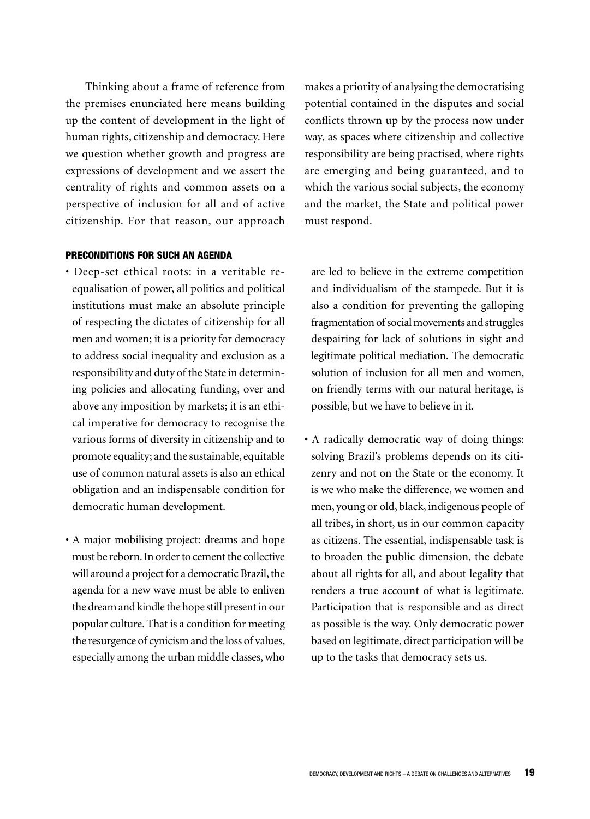Thinking about a frame of reference from the premises enunciated here means building up the content of development in the light of human rights, citizenship and democracy. Here we question whether growth and progress are expressions of development and we assert the centrality of rights and common assets on a perspective of inclusion for all and of active citizenship. For that reason, our approach makes a priority of analysing the democratising potential contained in the disputes and social conflicts thrown up by the process now under way, as spaces where citizenship and collective responsibility are being practised, where rights are emerging and being guaranteed, and to which the various social subjects, the economy and the market, the State and political power must respond.

# PRECONDITIONS FOR SUCH AN AGENDA

- Deep-set ethical roots: in a veritable reequalisation of power, all politics and political institutions must make an absolute principle of respecting the dictates of citizenship for all men and women; it is a priority for democracy to address social inequality and exclusion as a responsibility and duty of the State in determining policies and allocating funding, over and above any imposition by markets; it is an ethical imperative for democracy to recognise the various forms of diversity in citizenship and to promote equality; and the sustainable, equitable use of common natural assets is also an ethical obligation and an indispensable condition for democratic human development.
- A major mobilising project: dreams and hope must be reborn. In order to cement the collective will around a project for a democratic Brazil, the agenda for a new wave must be able to enliven the dream and kindle the hope still present in our popular culture. That is a condition for meeting the resurgence of cynicism and the loss of values, especially among the urban middle classes, who

are led to believe in the extreme competition and individualism of the stampede. But it is also a condition for preventing the galloping fragmentation of social movements and struggles despairing for lack of solutions in sight and legitimate political mediation. The democratic solution of inclusion for all men and women, on friendly terms with our natural heritage, is possible, but we have to believe in it.

• A radically democratic way of doing things: solving Brazil's problems depends on its citizenry and not on the State or the economy. It is we who make the difference, we women and men, young or old, black, indigenous people of all tribes, in short, us in our common capacity as citizens. The essential, indispensable task is to broaden the public dimension, the debate about all rights for all, and about legality that renders a true account of what is legitimate. Participation that is responsible and as direct as possible is the way. Only democratic power based on legitimate, direct participation will be up to the tasks that democracy sets us.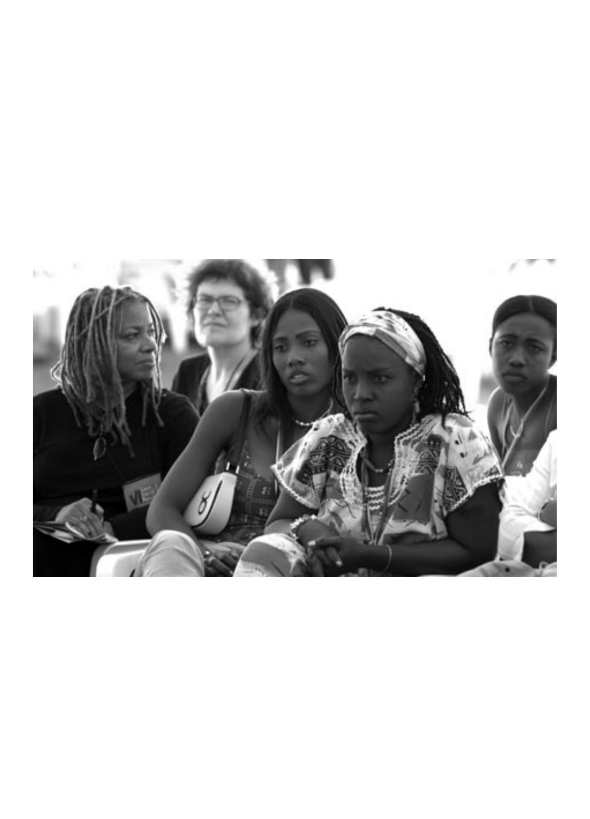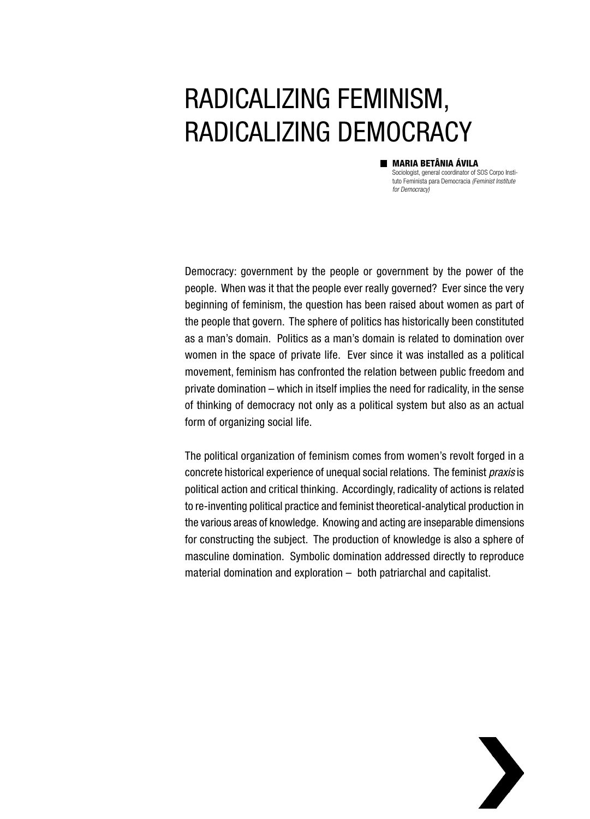# RADICALIZING FEMINISM, RADICALIZING DEMOCRACY

MARIA BETÂNIA ÁVILA

Sociologist, general coordinator of SOS Corpo Instituto Feminista para Democracia (Feminist Institute for Democracy)

Democracy: government by the people or government by the power of the people. When was it that the people ever really governed? Ever since the very beginning of feminism, the question has been raised about women as part of the people that govern. The sphere of politics has historically been constituted as a man's domain. Politics as a man's domain is related to domination over women in the space of private life. Ever since it was installed as a political movement, feminism has confronted the relation between public freedom and private domination – which in itself implies the need for radicality, in the sense of thinking of democracy not only as a political system but also as an actual form of organizing social life.

The political organization of feminism comes from women's revolt forged in a concrete historical experience of unequal social relations. The feminist praxis is political action and critical thinking. Accordingly, radicality of actions is related to re-inventing political practice and feminist theoretical-analytical production in the various areas of knowledge. Knowing and acting are inseparable dimensions for constructing the subject. The production of knowledge is also a sphere of masculine domination. Symbolic domination addressed directly to reproduce material domination and exploration – both patriarchal and capitalist.

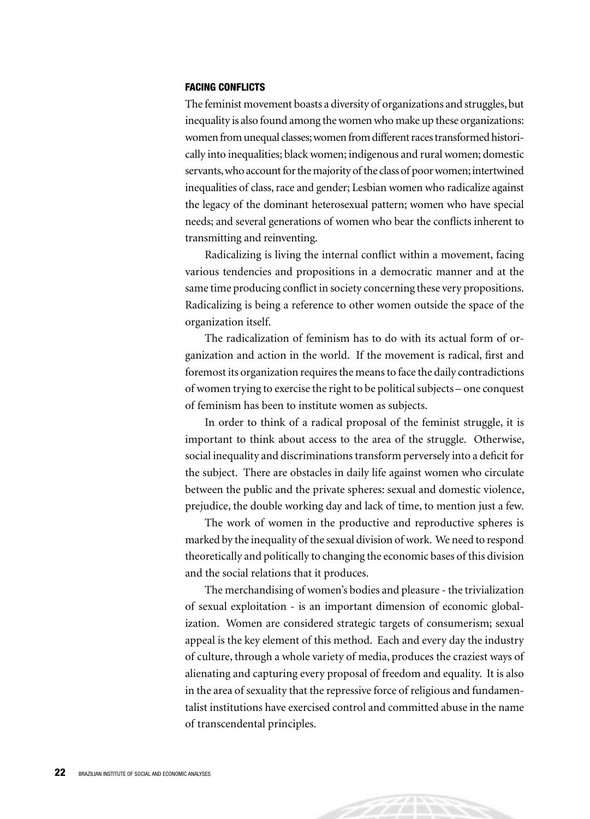#### FACING CONFLICTS

The feminist movement boasts a diversity of organizations and struggles, but inequality is also found among the women who make up these organizations: women from unequal classes; women from different races transformed historically into inequalities; black women; indigenous and rural women; domestic servants, who account for the majority of the class of poor women; intertwined inequalities of class, race and gender; Lesbian women who radicalize against the legacy of the dominant heterosexual pattern; women who have special needs; and several generations of women who bear the conflicts inherent to transmitting and reinventing.

Radicalizing is living the internal conflict within a movement, facing various tendencies and propositions in a democratic manner and at the same time producing conflict in society concerning these very propositions. Radicalizing is being a reference to other women outside the space of the organization itself.

The radicalization of feminism has to do with its actual form of organization and action in the world. If the movement is radical, first and foremost its organization requires the means to face the daily contradictions of women trying to exercise the right to be political subjects – one conquest of feminism has been to institute women as subjects.

In order to think of a radical proposal of the feminist struggle, it is important to think about access to the area of the struggle. Otherwise, social inequality and discriminations transform perversely into a deficit for the subject. There are obstacles in daily life against women who circulate between the public and the private spheres: sexual and domestic violence, prejudice, the double working day and lack of time, to mention just a few.

The work of women in the productive and reproductive spheres is marked by the inequality of the sexual division of work. We need to respond theoretically and politically to changing the economic bases of this division and the social relations that it produces.

The merchandising of women's bodies and pleasure - the trivialization of sexual exploitation - is an important dimension of economic globalization. Women are considered strategic targets of consumerism; sexual appeal is the key element of this method. Each and every day the industry of culture, through a whole variety of media, produces the craziest ways of alienating and capturing every proposal of freedom and equality. It is also in the area of sexuality that the repressive force of religious and fundamentalist institutions have exercised control and committed abuse in the name of transcendental principles.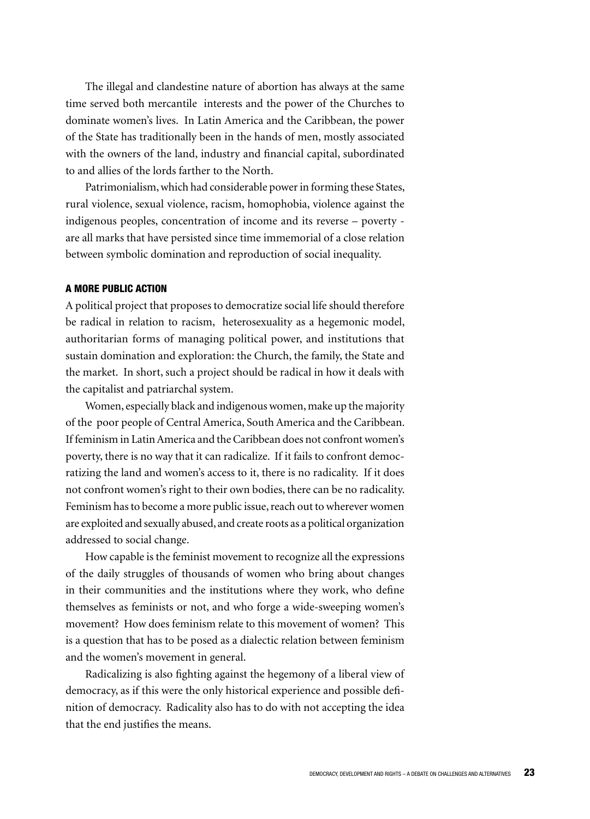The illegal and clandestine nature of abortion has always at the same time served both mercantile interests and the power of the Churches to dominate women's lives. In Latin America and the Caribbean, the power of the State has traditionally been in the hands of men, mostly associated with the owners of the land, industry and financial capital, subordinated to and allies of the lords farther to the North.

Patrimonialism, which had considerable power in forming these States, rural violence, sexual violence, racism, homophobia, violence against the indigenous peoples, concentration of income and its reverse – poverty are all marks that have persisted since time immemorial of a close relation between symbolic domination and reproduction of social inequality.

# A MORE PUBLIC ACTION

A political project that proposes to democratize social life should therefore be radical in relation to racism, heterosexuality as a hegemonic model, authoritarian forms of managing political power, and institutions that sustain domination and exploration: the Church, the family, the State and the market. In short, such a project should be radical in how it deals with the capitalist and patriarchal system.

Women, especially black and indigenous women, make up the majority of the poor people of Central America, South America and the Caribbean. If feminism in Latin America and the Caribbean does not confront women's poverty, there is no way that it can radicalize. If it fails to confront democratizing the land and women's access to it, there is no radicality. If it does not confront women's right to their own bodies, there can be no radicality. Feminism has to become a more public issue, reach out to wherever women are exploited and sexually abused, and create roots as a political organization addressed to social change.

How capable is the feminist movement to recognize all the expressions of the daily struggles of thousands of women who bring about changes in their communities and the institutions where they work, who define themselves as feminists or not, and who forge a wide-sweeping women's movement? How does feminism relate to this movement of women? This is a question that has to be posed as a dialectic relation between feminism and the women's movement in general.

Radicalizing is also fighting against the hegemony of a liberal view of democracy, as if this were the only historical experience and possible definition of democracy. Radicality also has to do with not accepting the idea that the end justifies the means.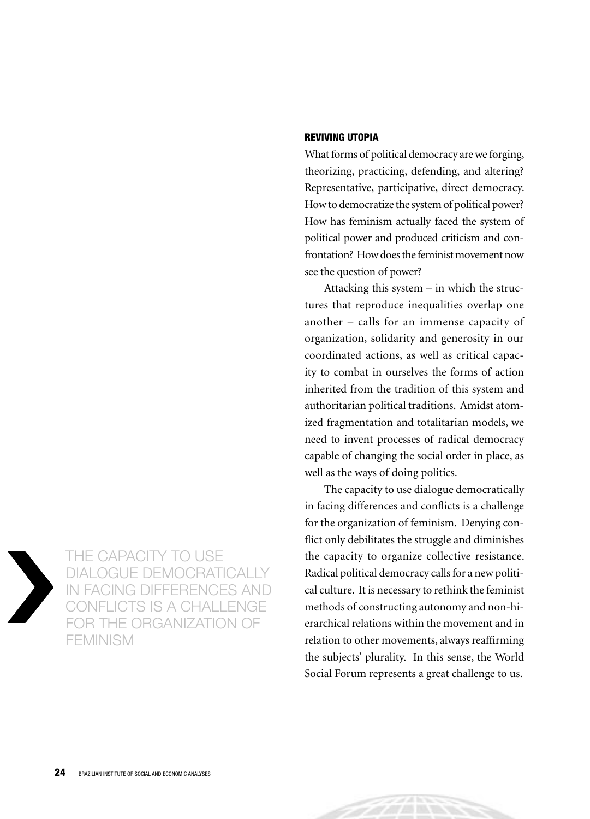# REVIVING UTOPIA

What forms of political democracy are we forging, theorizing, practicing, defending, and altering? Representative, participative, direct democracy. How to democratize the system of political power? How has feminism actually faced the system of political power and produced criticism and confrontation? How does the feminist movement now see the question of power?

Attacking this system – in which the structures that reproduce inequalities overlap one another – calls for an immense capacity of organization, solidarity and generosity in our coordinated actions, as well as critical capacity to combat in ourselves the forms of action inherited from the tradition of this system and authoritarian political traditions. Amidst atomized fragmentation and totalitarian models, we need to invent processes of radical democracy capable of changing the social order in place, as well as the ways of doing politics.

The capacity to use dialogue democratically in facing differences and conflicts is a challenge for the organization of feminism. Denying conflict only debilitates the struggle and diminishes the capacity to organize collective resistance. Radical political democracy calls for a new political culture. It is necessary to rethink the feminist methods of constructing autonomy and non-hierarchical relations within the movement and in relation to other movements, always reaffirming the subjects' plurality. In this sense, the World Social Forum represents a great challenge to us.

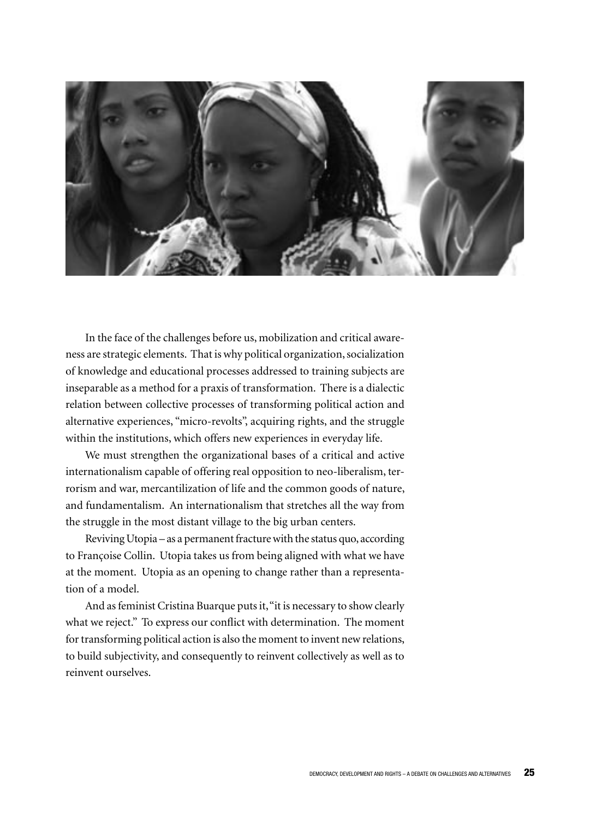

In the face of the challenges before us, mobilization and critical awareness are strategic elements. That is why political organization, socialization of knowledge and educational processes addressed to training subjects are inseparable as a method for a praxis of transformation. There is a dialectic relation between collective processes of transforming political action and alternative experiences, "micro-revolts", acquiring rights, and the struggle within the institutions, which offers new experiences in everyday life.

We must strengthen the organizational bases of a critical and active internationalism capable of offering real opposition to neo-liberalism, terrorism and war, mercantilization of life and the common goods of nature, and fundamentalism. An internationalism that stretches all the way from the struggle in the most distant village to the big urban centers.

Reviving Utopia – as a permanent fracture with the status quo, according to Françoise Collin. Utopia takes us from being aligned with what we have at the moment. Utopia as an opening to change rather than a representation of a model.

And as feminist Cristina Buarque puts it, "it is necessary to show clearly what we reject." To express our conflict with determination. The moment for transforming political action is also the moment to invent new relations, to build subjectivity, and consequently to reinvent collectively as well as to reinvent ourselves.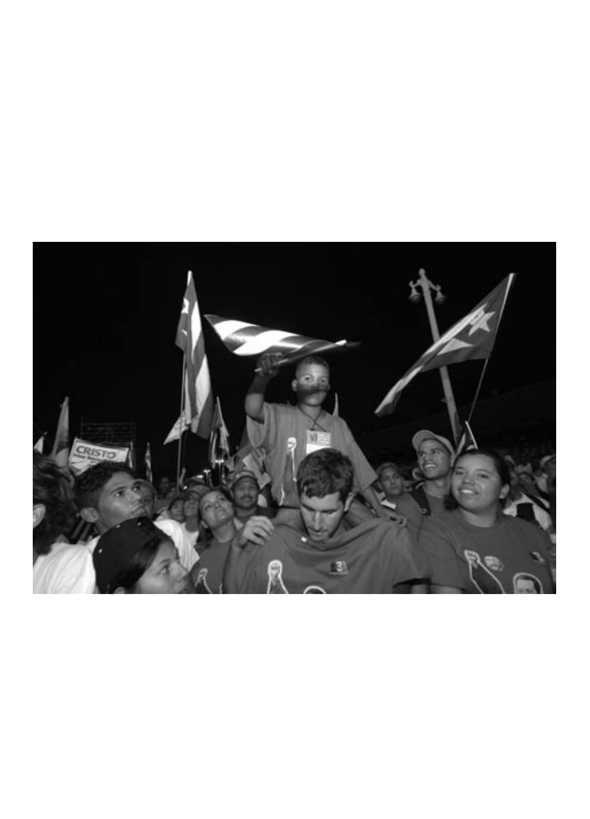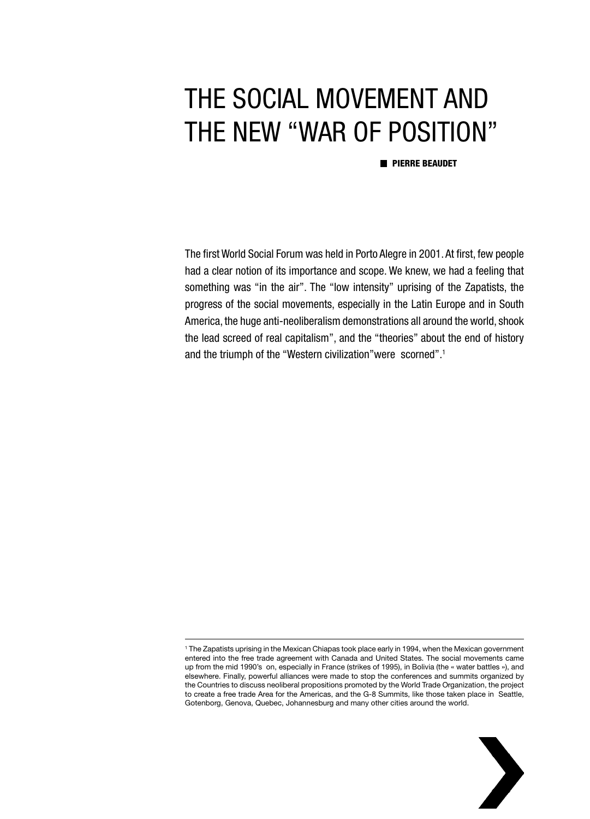# THE SOCIAL MOVEMENT AND THE NEW "WAR OF POSITION"

**PIERRE BEAUDET** 

The first World Social Forum was held in Porto Alegre in 2001. At first, few people had a clear notion of its importance and scope. We knew, we had a feeling that something was "in the air". The "low intensity" uprising of the Zapatists, the progress of the social movements, especially in the Latin Europe and in South America, the huge anti-neoliberalism demonstrations all around the world, shook the lead screed of real capitalism", and the "theories" about the end of history and the triumph of the "Western civilization"were scorned".1

<sup>1</sup> The Zapatists uprising in the Mexican Chiapas took place early in 1994, when the Mexican government entered into the free trade agreement with Canada and United States. The social movements came up from the mid 1990's on, especially in France (strikes of 1995), in Bolivia (the « water battles »), and elsewhere. Finally, powerful alliances were made to stop the conferences and summits organized by the Countries to discuss neoliberal propositions promoted by the World Trade Organization, the project to create a free trade Area for the Americas, and the G-8 Summits, like those taken place in Seattle, Gotenborg, Genova, Quebec, Johannesburg and many other cities around the world.

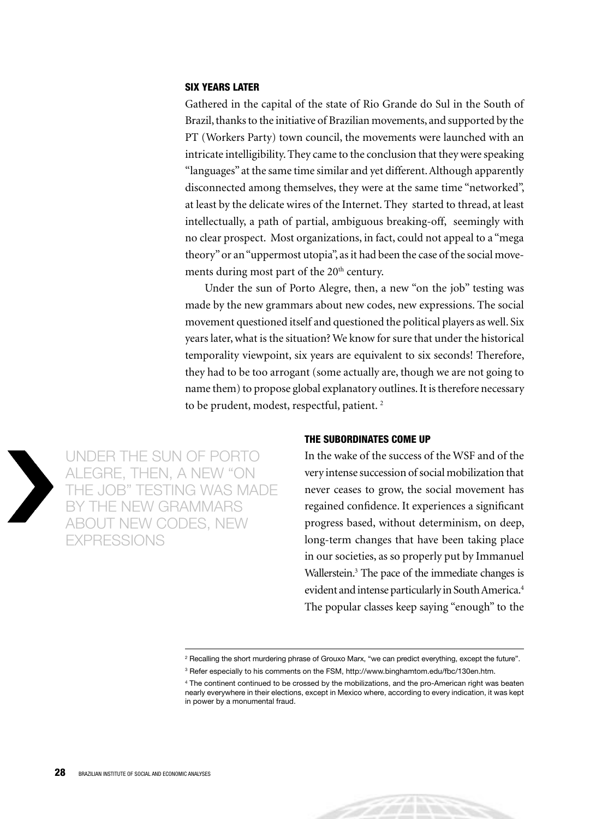#### SIX YEARS LATER

Gathered in the capital of the state of Rio Grande do Sul in the South of Brazil, thanks to the initiative of Brazilian movements, and supported by the PT (Workers Party) town council, the movements were launched with an intricate intelligibility. They came to the conclusion that they were speaking "languages" at the same time similar and yet different. Although apparently disconnected among themselves, they were at the same time "networked", at least by the delicate wires of the Internet. They started to thread, at least intellectually, a path of partial, ambiguous breaking-off, seemingly with no clear prospect. Most organizations, in fact, could not appeal to a "mega theory" or an "uppermost utopia", as it had been the case of the social movements during most part of the 20<sup>th</sup> century.

Under the sun of Porto Alegre, then, a new "on the job" testing was made by the new grammars about new codes, new expressions. The social movement questioned itself and questioned the political players as well. Six years later, what is the situation? We know for sure that under the historical temporality viewpoint, six years are equivalent to six seconds! Therefore, they had to be too arrogant (some actually are, though we are not going to name them) to propose global explanatory outlines. It is therefore necessary to be prudent, modest, respectful, patient.<sup>2</sup>



UNDER THE SUN OF PORTO EGRE, THEN, A NEW "ON TESTING WAS MADE THE NEW GRAMMARS **NUT NEW CODES, NEW EXPRESSIONS** 

#### THE SUBORDINATES COME UP

In the wake of the success of the WSF and of the very intense succession of social mobilization that never ceases to grow, the social movement has regained confidence. It experiences a significant progress based, without determinism, on deep, long-term changes that have been taking place in our societies, as so properly put by Immanuel Wallerstein.<sup>3</sup> The pace of the immediate changes is evident and intense particularly in South America.<sup>4</sup> The popular classes keep saying "enough" to the

<sup>&</sup>lt;sup>2</sup> Recalling the short murdering phrase of Grouxo Marx, "we can predict everything, except the future".

<sup>3</sup> Refer especially to his comments on the FSM, http://www.binghamtom.edu/fbc/130en.htm.

<sup>4</sup> The continent continued to be crossed by the mobilizations, and the pro-American right was beaten nearly everywhere in their elections, except in Mexico where, according to every indication, it was kept in power by a monumental fraud.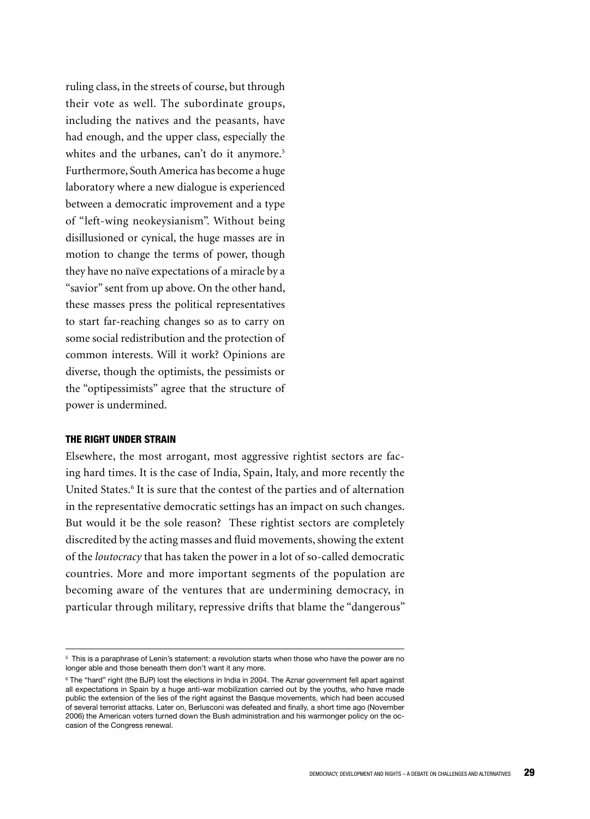ruling class, in the streets of course, but through their vote as well. The subordinate groups, including the natives and the peasants, have had enough, and the upper class, especially the whites and the urbanes, can't do it anymore.<sup>5</sup> Furthermore, South America has become a huge laboratory where a new dialogue is experienced between a democratic improvement and a type of "left-wing neokeysianism". Without being disillusioned or cynical, the huge masses are in motion to change the terms of power, though they have no naïve expectations of a miracle by a "savior" sent from up above. On the other hand, these masses press the political representatives to start far-reaching changes so as to carry on some social redistribution and the protection of common interests. Will it work? Opinions are diverse, though the optimists, the pessimists or the "optipessimists" agree that the structure of power is undermined.

#### THE RIGHT UNDER STRAIN

Elsewhere, the most arrogant, most aggressive rightist sectors are facing hard times. It is the case of India, Spain, Italy, and more recently the United States.<sup>6</sup> It is sure that the contest of the parties and of alternation in the representative democratic settings has an impact on such changes. But would it be the sole reason? These rightist sectors are completely discredited by the acting masses and fluid movements, showing the extent of the *loutocracy* that has taken the power in a lot of so-called democratic countries. More and more important segments of the population are becoming aware of the ventures that are undermining democracy, in particular through military, repressive drifts that blame the "dangerous"

<sup>&</sup>lt;sup>5</sup> This is a paraphrase of Lenin's statement: a revolution starts when those who have the power are no longer able and those beneath them don't want it any more.

<sup>6</sup> The "hard" right (the BJP) lost the elections in India in 2004. The Aznar government fell apart against all expectations in Spain by a huge anti-war mobilization carried out by the youths, who have made public the extension of the lies of the right against the Basque movements, which had been accused of several terrorist attacks. Later on, Berlusconi was defeated and finally, a short time ago (November 2006) the American voters turned down the Bush administration and his warmonger policy on the occasion of the Congress renewal.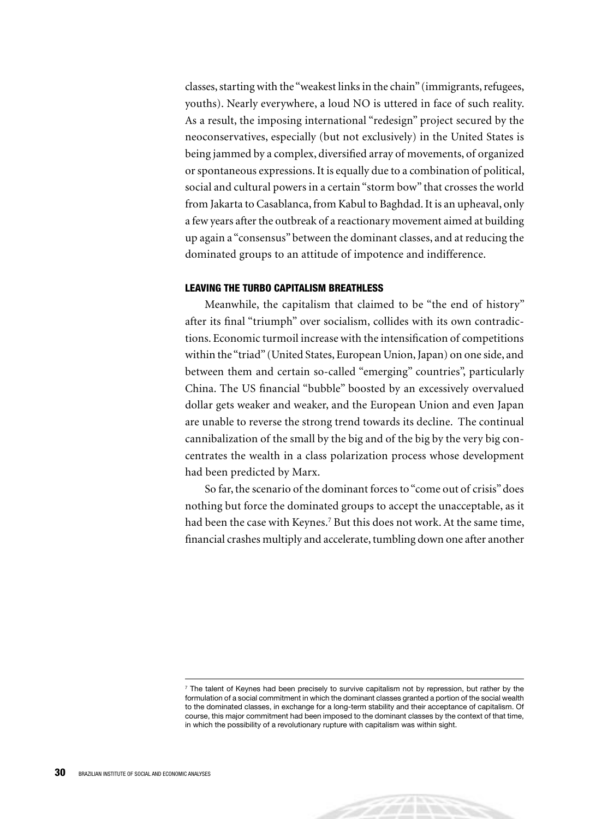classes, starting with the "weakest links in the chain" (immigrants, refugees, youths). Nearly everywhere, a loud NO is uttered in face of such reality. As a result, the imposing international "redesign" project secured by the neoconservatives, especially (but not exclusively) in the United States is being jammed by a complex, diversified array of movements, of organized or spontaneous expressions. It is equally due to a combination of political, social and cultural powers in a certain "storm bow" that crosses the world from Jakarta to Casablanca, from Kabul to Baghdad. It is an upheaval, only a few years after the outbreak of a reactionary movement aimed at building up again a "consensus" between the dominant classes, and at reducing the dominated groups to an attitude of impotence and indifference.

#### LEAVING THE TURBO CAPITALISM BREATHLESS

Meanwhile, the capitalism that claimed to be "the end of history" after its final "triumph" over socialism, collides with its own contradictions. Economic turmoil increase with the intensification of competitions within the "triad" (United States, European Union, Japan) on one side, and between them and certain so-called "emerging" countries", particularly China. The US financial "bubble" boosted by an excessively overvalued dollar gets weaker and weaker, and the European Union and even Japan are unable to reverse the strong trend towards its decline. The continual cannibalization of the small by the big and of the big by the very big concentrates the wealth in a class polarization process whose development had been predicted by Marx.

So far, the scenario of the dominant forces to "come out of crisis" does nothing but force the dominated groups to accept the unacceptable, as it had been the case with Keynes.<sup>7</sup> But this does not work. At the same time, financial crashes multiply and accelerate, tumbling down one after another

**The Second Second Second Second** 

<sup>7</sup> The talent of Keynes had been precisely to survive capitalism not by repression, but rather by the formulation of a social commitment in which the dominant classes granted a portion of the social wealth to the dominated classes, in exchange for a long-term stability and their acceptance of capitalism. Of course, this major commitment had been imposed to the dominant classes by the context of that time, in which the possibility of a revolutionary rupture with capitalism was within sight.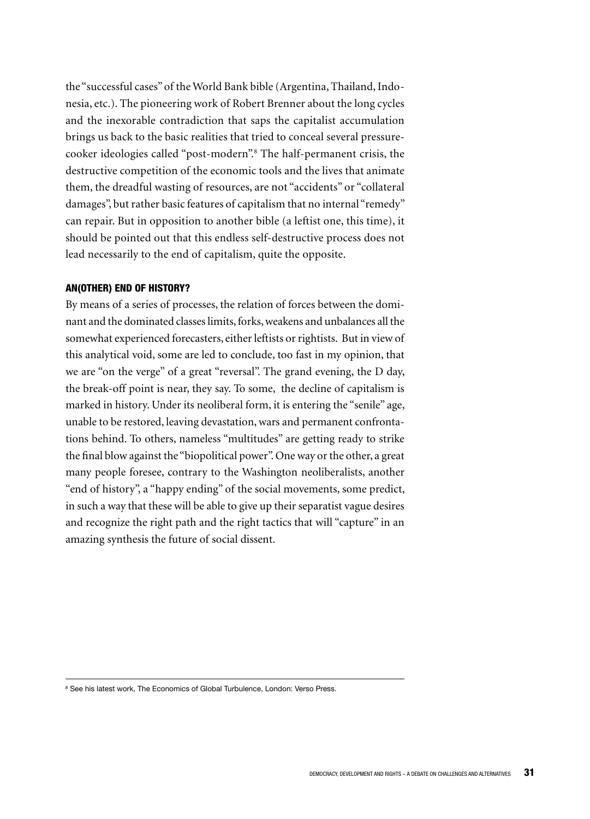the "successful cases" of the World Bank bible (Argentina, Thailand, Indonesia, etc.). The pioneering work of Robert Brenner about the long cycles and the inexorable contradiction that saps the capitalist accumulation brings us back to the basic realities that tried to conceal several pressurecooker ideologies called "post-modern".8 The half-permanent crisis, the destructive competition of the economic tools and the lives that animate them, the dreadful wasting of resources, are not "accidents" or "collateral damages", but rather basic features of capitalism that no internal "remedy" can repair. But in opposition to another bible (a leftist one, this time), it should be pointed out that this endless self-destructive process does not lead necessarily to the end of capitalism, quite the opposite.

### AN(OTHER) END OF HISTORY?

By means of a series of processes, the relation of forces between the dominant and the dominated classes limits, forks, weakens and unbalances all the somewhat experienced forecasters, either leftists or rightists. But in view of this analytical void, some are led to conclude, too fast in my opinion, that we are "on the verge" of a great "reversal". The grand evening, the D day, the break-off point is near, they say. To some, the decline of capitalism is marked in history. Under its neoliberal form, it is entering the "senile" age, unable to be restored, leaving devastation, wars and permanent confrontations behind. To others, nameless "multitudes" are getting ready to strike the final blow against the "biopolitical power". One way or the other, a great many people foresee, contrary to the Washington neoliberalists, another "end of history", a "happy ending" of the social movements, some predict, in such a way that these will be able to give up their separatist vague desires and recognize the right path and the right tactics that will "capture" in an amazing synthesis the future of social dissent.

<sup>8</sup> See his latest work, The Economics of Global Turbulence, London: Verso Press.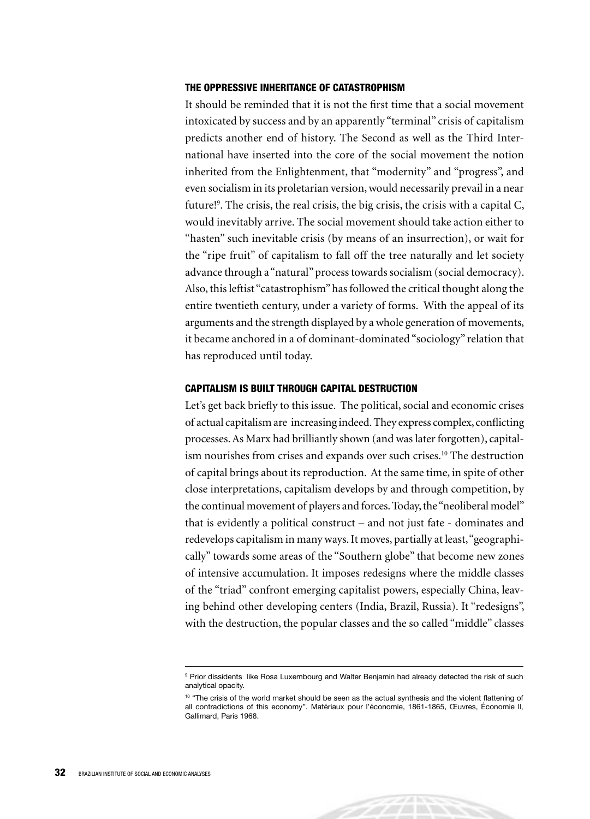#### THE OPPRESSIVE INHERITANCE OF CATASTROPHISM

It should be reminded that it is not the first time that a social movement intoxicated by success and by an apparently "terminal" crisis of capitalism predicts another end of history. The Second as well as the Third International have inserted into the core of the social movement the notion inherited from the Enlightenment, that "modernity" and "progress", and even socialism in its proletarian version, would necessarily prevail in a near future!<sup>9</sup>. The crisis, the real crisis, the big crisis, the crisis with a capital C, would inevitably arrive. The social movement should take action either to "hasten" such inevitable crisis (by means of an insurrection), or wait for the "ripe fruit" of capitalism to fall off the tree naturally and let society advance through a "natural" process towards socialism (social democracy). Also, this leftist "catastrophism" has followed the critical thought along the entire twentieth century, under a variety of forms. With the appeal of its arguments and the strength displayed by a whole generation of movements, it became anchored in a of dominant-dominated "sociology" relation that has reproduced until today.

### CAPITALISM IS BUILT THROUGH CAPITAL DESTRUCTION

Let's get back briefly to this issue. The political, social and economic crises of actual capitalism are increasing indeed. They express complex, conflicting processes. As Marx had brilliantly shown (and was later forgotten), capitalism nourishes from crises and expands over such crises.10 The destruction of capital brings about its reproduction. At the same time, in spite of other close interpretations, capitalism develops by and through competition, by the continual movement of players and forces. Today, the "neoliberal model" that is evidently a political construct – and not just fate - dominates and redevelops capitalism in many ways. It moves, partially at least, "geographically" towards some areas of the "Southern globe" that become new zones of intensive accumulation. It imposes redesigns where the middle classes of the "triad" confront emerging capitalist powers, especially China, leaving behind other developing centers (India, Brazil, Russia). It "redesigns", with the destruction, the popular classes and the so called "middle" classes

<sup>&</sup>lt;sup>9</sup> Prior dissidents like Rosa Luxembourg and Walter Benjamin had already detected the risk of such analytical opacity.

<sup>&</sup>lt;sup>10</sup> "The crisis of the world market should be seen as the actual synthesis and the violent flattening of all contradictions of this economy". Matériaux pour l'économie, 1861-1865, Œuvres, Économie ll, Gallimard, Paris 1968.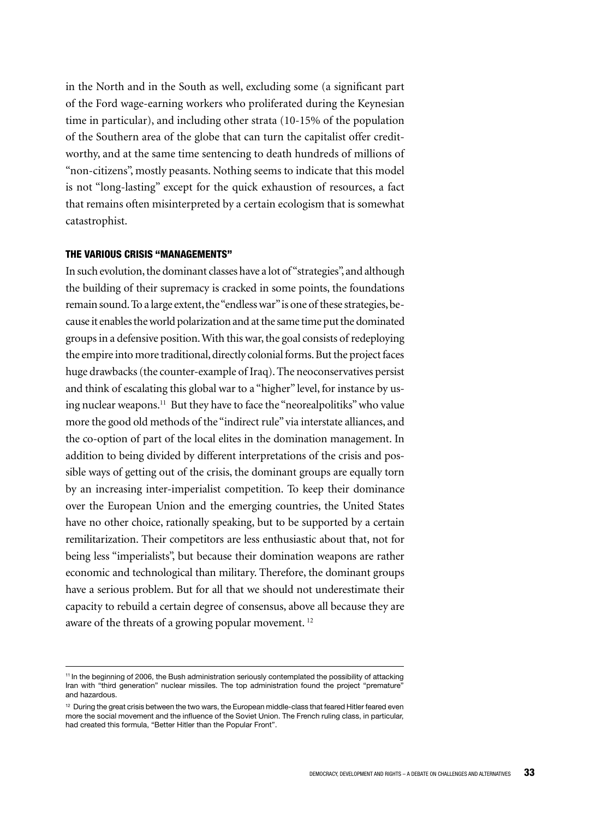in the North and in the South as well, excluding some (a significant part of the Ford wage-earning workers who proliferated during the Keynesian time in particular), and including other strata (10-15% of the population of the Southern area of the globe that can turn the capitalist offer creditworthy, and at the same time sentencing to death hundreds of millions of "non-citizens", mostly peasants. Nothing seems to indicate that this model is not "long-lasting" except for the quick exhaustion of resources, a fact that remains often misinterpreted by a certain ecologism that is somewhat catastrophist.

#### THE VARIOUS CRISIS "MANAGEMENTS"

In such evolution, the dominant classes have a lot of "strategies", and although the building of their supremacy is cracked in some points, the foundations remain sound. To a large extent, the "endless war" is one of these strategies, because it enables the world polarization and at the same time put the dominated groups in a defensive position. With this war, the goal consists of redeploying the empire into more traditional, directly colonial forms. But the project faces huge drawbacks (the counter-example of Iraq). The neoconservatives persist and think of escalating this global war to a "higher" level, for instance by using nuclear weapons.<sup>11</sup> But they have to face the "neorealpolitiks" who value more the good old methods of the "indirect rule" via interstate alliances, and the co-option of part of the local elites in the domination management. In addition to being divided by different interpretations of the crisis and possible ways of getting out of the crisis, the dominant groups are equally torn by an increasing inter-imperialist competition. To keep their dominance over the European Union and the emerging countries, the United States have no other choice, rationally speaking, but to be supported by a certain remilitarization. Their competitors are less enthusiastic about that, not for being less "imperialists", but because their domination weapons are rather economic and technological than military. Therefore, the dominant groups have a serious problem. But for all that we should not underestimate their capacity to rebuild a certain degree of consensus, above all because they are aware of the threats of a growing popular movement. 12

<sup>11</sup> In the beginning of 2006, the Bush administration seriously contemplated the possibility of attacking Iran with "third generation" nuclear missiles. The top administration found the project "premature" and hazardous.

<sup>&</sup>lt;sup>12</sup> During the great crisis between the two wars, the European middle-class that feared Hitler feared even more the social movement and the influence of the Soviet Union. The French ruling class, in particular, had created this formula, "Better Hitler than the Popular Front".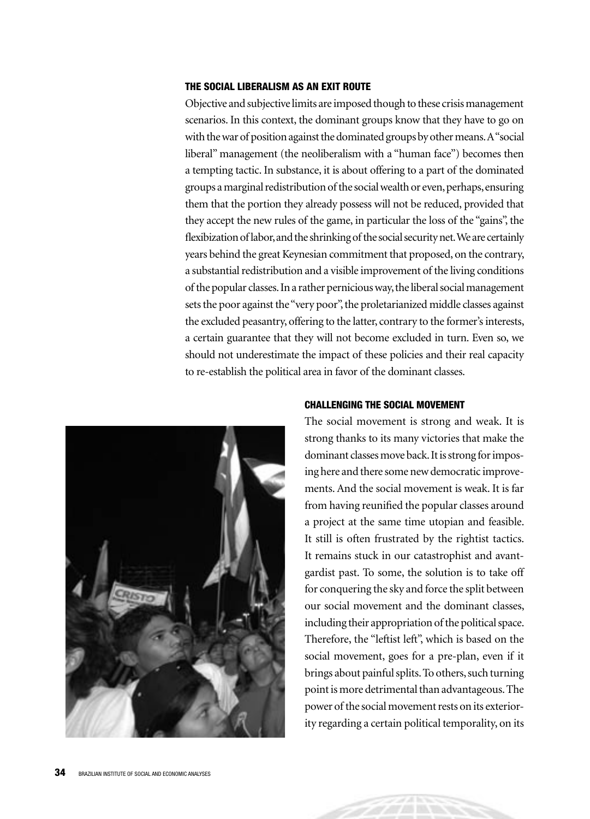# THE SOCIAL LIBERALISM AS AN EXIT ROUTE

Objective and subjective limits are imposed though to these crisis management scenarios. In this context, the dominant groups know that they have to go on with the war of position against the dominated groups by other means. A "social liberal" management (the neoliberalism with a "human face") becomes then a tempting tactic. In substance, it is about offering to a part of the dominated groups a marginal redistribution of the social wealth or even, perhaps, ensuring them that the portion they already possess will not be reduced, provided that they accept the new rules of the game, in particular the loss of the "gains", the flexibization of labor, and the shrinking of the social security net. We are certainly years behind the great Keynesian commitment that proposed, on the contrary, a substantial redistribution and a visible improvement of the living conditions of the popular classes. In a rather pernicious way, the liberal social management sets the poor against the "very poor", the proletarianized middle classes against the excluded peasantry, offering to the latter, contrary to the former's interests, a certain guarantee that they will not become excluded in turn. Even so, we should not underestimate the impact of these policies and their real capacity to re-establish the political area in favor of the dominant classes.



#### CHALLENGING THE SOCIAL MOVEMENT

The social movement is strong and weak. It is strong thanks to its many victories that make the dominant classes move back. It is strong for imposing here and there some new democratic improvements. And the social movement is weak. It is far from having reunified the popular classes around a project at the same time utopian and feasible. It still is often frustrated by the rightist tactics. It remains stuck in our catastrophist and avantgardist past. To some, the solution is to take off for conquering the sky and force the split between our social movement and the dominant classes, including their appropriation of the political space. Therefore, the "leftist left", which is based on the social movement, goes for a pre-plan, even if it brings about painful splits. To others, such turning point is more detrimental than advantageous. The power of the social movement rests on its exteriority regarding a certain political temporality, on its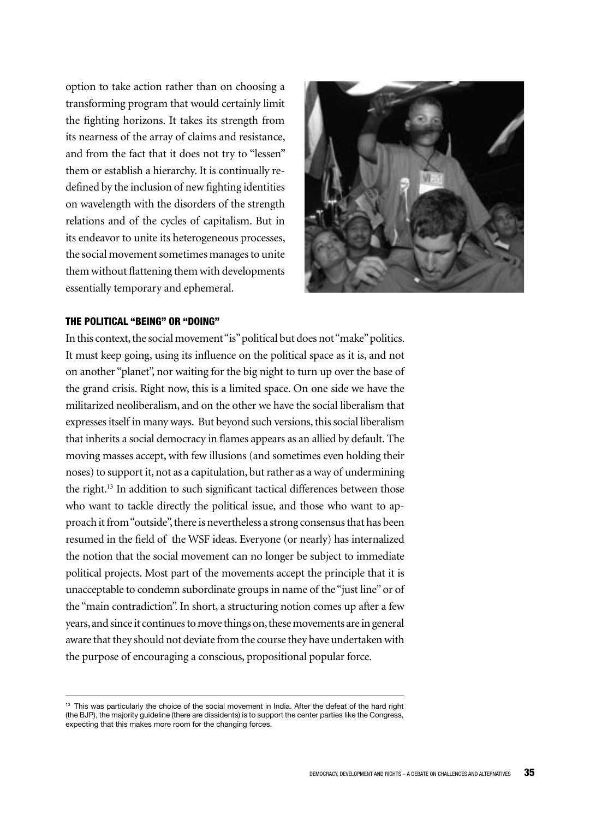option to take action rather than on choosing a transforming program that would certainly limit the fighting horizons. It takes its strength from its nearness of the array of claims and resistance, and from the fact that it does not try to "lessen" them or establish a hierarchy. It is continually redefined by the inclusion of new fighting identities on wavelength with the disorders of the strength relations and of the cycles of capitalism. But in its endeavor to unite its heterogeneous processes, the social movement sometimes manages to unite them without flattening them with developments essentially temporary and ephemeral.



# THE POLITICAL "BEING" OR "DOING"

In this context, the social movement "is" political but does not "make" politics. It must keep going, using its influence on the political space as it is, and not on another "planet", nor waiting for the big night to turn up over the base of the grand crisis. Right now, this is a limited space. On one side we have the militarized neoliberalism, and on the other we have the social liberalism that expresses itself in many ways. But beyond such versions, this social liberalism that inherits a social democracy in flames appears as an allied by default. The moving masses accept, with few illusions (and sometimes even holding their noses) to support it, not as a capitulation, but rather as a way of undermining the right.<sup>13</sup> In addition to such significant tactical differences between those who want to tackle directly the political issue, and those who want to approach it from "outside", there is nevertheless a strong consensus that has been resumed in the field of the WSF ideas. Everyone (or nearly) has internalized the notion that the social movement can no longer be subject to immediate political projects. Most part of the movements accept the principle that it is unacceptable to condemn subordinate groups in name of the "just line" or of the "main contradiction". In short, a structuring notion comes up after a few years, and since it continues to move things on, these movements are in general aware that they should not deviate from the course they have undertaken with the purpose of encouraging a conscious, propositional popular force.

<sup>&</sup>lt;sup>13</sup> This was particularly the choice of the social movement in India. After the defeat of the hard right (the BJP), the majority guideline (there are dissidents) is to support the center parties like the Congress, expecting that this makes more room for the changing forces.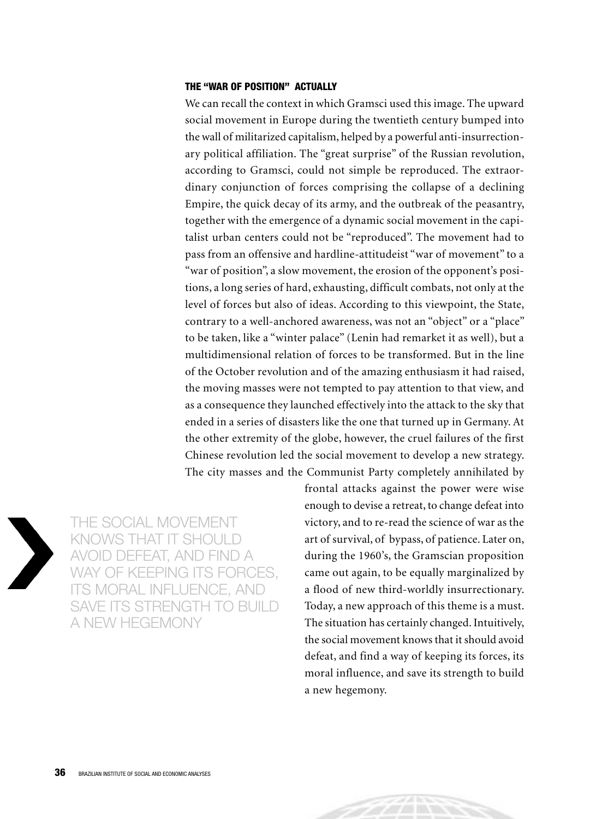# THE "WAR OF POSITION" ACTUALLY

We can recall the context in which Gramsci used this image. The upward social movement in Europe during the twentieth century bumped into the wall of militarized capitalism, helped by a powerful anti-insurrectionary political affiliation. The "great surprise" of the Russian revolution, according to Gramsci, could not simple be reproduced. The extraordinary conjunction of forces comprising the collapse of a declining Empire, the quick decay of its army, and the outbreak of the peasantry, together with the emergence of a dynamic social movement in the capitalist urban centers could not be "reproduced". The movement had to pass from an offensive and hardline-attitudeist "war of movement" to a "war of position", a slow movement, the erosion of the opponent's positions, a long series of hard, exhausting, difficult combats, not only at the level of forces but also of ideas. According to this viewpoint, the State, contrary to a well-anchored awareness, was not an "object" or a "place" to be taken, like a "winter palace" (Lenin had remarket it as well), but a multidimensional relation of forces to be transformed. But in the line of the October revolution and of the amazing enthusiasm it had raised, the moving masses were not tempted to pay attention to that view, and as a consequence they launched effectively into the attack to the sky that ended in a series of disasters like the one that turned up in Germany. At the other extremity of the globe, however, the cruel failures of the first Chinese revolution led the social movement to develop a new strategy. The city masses and the Communist Party completely annihilated by

THE SOCIAL MOVEMENT KNOWS THAT IT SHOULD OID DEFEAT, AND FIND A WAY OF KEEPING ITS FORCES. ITS MORAL INFLUENCE, AND SAVE ITS STRENGTH TO BUILD A NEW HEGEMONY

frontal attacks against the power were wise enough to devise a retreat, to change defeat into victory, and to re-read the science of war as the art of survival, of bypass, of patience. Later on, during the 1960's, the Gramscian proposition came out again, to be equally marginalized by a flood of new third-worldly insurrectionary. Today, a new approach of this theme is a must. The situation has certainly changed. Intuitively, the social movement knows that it should avoid defeat, and find a way of keeping its forces, its moral influence, and save its strength to build a new hegemony.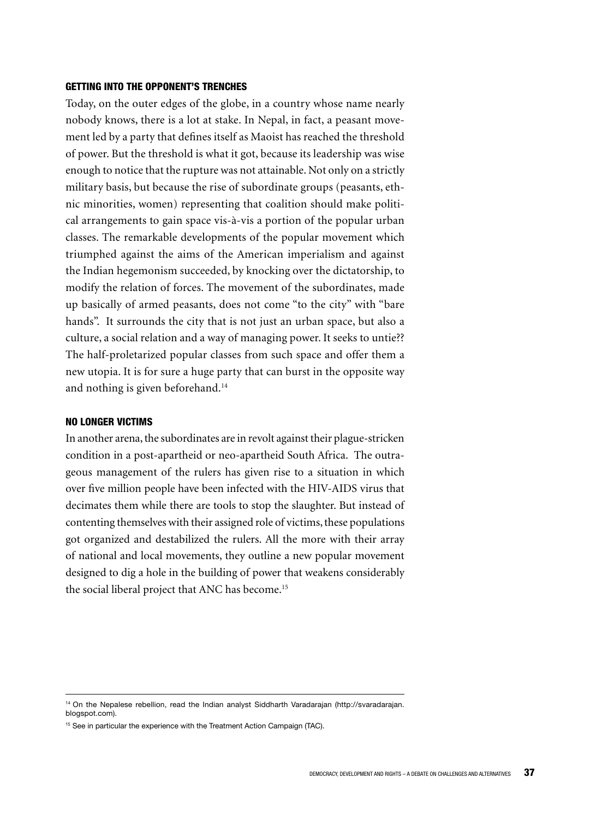#### GETTING INTO THE OPPONENT'S TRENCHES

Today, on the outer edges of the globe, in a country whose name nearly nobody knows, there is a lot at stake. In Nepal, in fact, a peasant movement led by a party that defines itself as Maoist has reached the threshold of power. But the threshold is what it got, because its leadership was wise enough to notice that the rupture was not attainable. Not only on a strictly military basis, but because the rise of subordinate groups (peasants, ethnic minorities, women) representing that coalition should make political arrangements to gain space vis-à-vis a portion of the popular urban classes. The remarkable developments of the popular movement which triumphed against the aims of the American imperialism and against the Indian hegemonism succeeded, by knocking over the dictatorship, to modify the relation of forces. The movement of the subordinates, made up basically of armed peasants, does not come "to the city" with "bare hands". It surrounds the city that is not just an urban space, but also a culture, a social relation and a way of managing power. It seeks to untie?? The half-proletarized popular classes from such space and offer them a new utopia. It is for sure a huge party that can burst in the opposite way and nothing is given beforehand.14

#### NO LONGER VICTIMS

In another arena, the subordinates are in revolt against their plague-stricken condition in a post-apartheid or neo-apartheid South Africa. The outrageous management of the rulers has given rise to a situation in which over five million people have been infected with the HIV-AIDS virus that decimates them while there are tools to stop the slaughter. But instead of contenting themselves with their assigned role of victims, these populations got organized and destabilized the rulers. All the more with their array of national and local movements, they outline a new popular movement designed to dig a hole in the building of power that weakens considerably the social liberal project that ANC has become.15

<sup>14</sup> On the Nepalese rebellion, read the Indian analyst Siddharth Varadarajan (http://svaradarajan. blogspot.com).

<sup>&</sup>lt;sup>15</sup> See in particular the experience with the Treatment Action Campaign (TAC).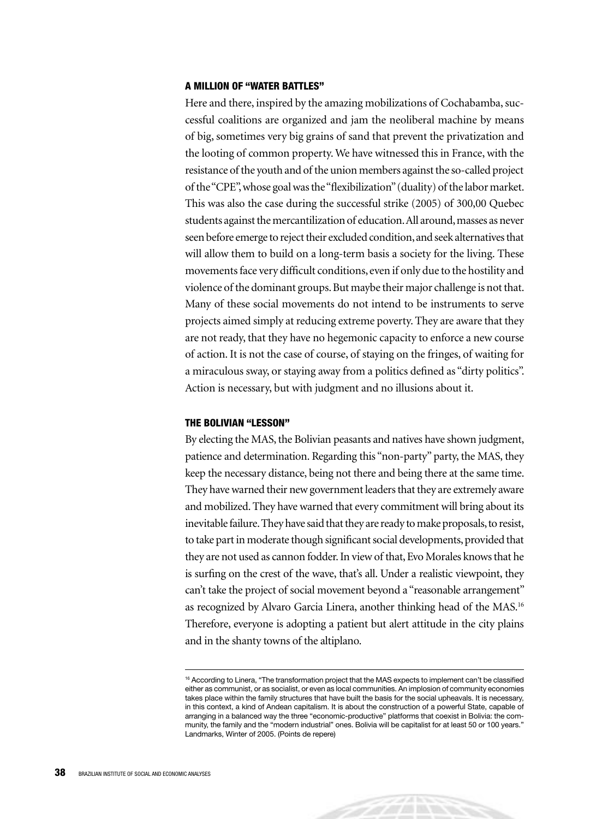### A MILLION OF "WATER BATTLES"

Here and there, inspired by the amazing mobilizations of Cochabamba, successful coalitions are organized and jam the neoliberal machine by means of big, sometimes very big grains of sand that prevent the privatization and the looting of common property. We have witnessed this in France, with the resistance of the youth and of the union members against the so-called project of the "CPE", whose goal was the "flexibilization" (duality) of the labor market. This was also the case during the successful strike (2005) of 300,00 Quebec students against the mercantilization of education. All around, masses as never seen before emerge to reject their excluded condition, and seek alternatives that will allow them to build on a long-term basis a society for the living. These movements face very difficult conditions, even if only due to the hostility and violence of the dominant groups. But maybe their major challenge is not that. Many of these social movements do not intend to be instruments to serve projects aimed simply at reducing extreme poverty. They are aware that they are not ready, that they have no hegemonic capacity to enforce a new course of action. It is not the case of course, of staying on the fringes, of waiting for a miraculous sway, or staying away from a politics defined as "dirty politics". Action is necessary, but with judgment and no illusions about it.

#### THE BOLIVIAN "LESSON"

By electing the MAS, the Bolivian peasants and natives have shown judgment, patience and determination. Regarding this "non-party" party, the MAS, they keep the necessary distance, being not there and being there at the same time. They have warned their new government leaders that they are extremely aware and mobilized. They have warned that every commitment will bring about its inevitable failure. They have said that they are ready to make proposals, to resist, to take part in moderate though significant social developments, provided that they are not used as cannon fodder. In view of that, Evo Morales knows that he is surfing on the crest of the wave, that's all. Under a realistic viewpoint, they can't take the project of social movement beyond a "reasonable arrangement" as recognized by Alvaro Garcia Linera, another thinking head of the MAS.16 Therefore, everyone is adopting a patient but alert attitude in the city plains and in the shanty towns of the altiplano.

<sup>16</sup> According to Linera, "The transformation project that the MAS expects to implement can't be classified either as communist, or as socialist, or even as local communities. An implosion of community economies takes place within the family structures that have built the basis for the social upheavals. It is necessary, in this context, a kind of Andean capitalism. It is about the construction of a powerful State, capable of arranging in a balanced way the three "economic-productive" platforms that coexist in Bolivia: the community, the family and the "modern industrial" ones. Bolivia will be capitalist for at least 50 or 100 years." Landmarks, Winter of 2005. (Points de repere)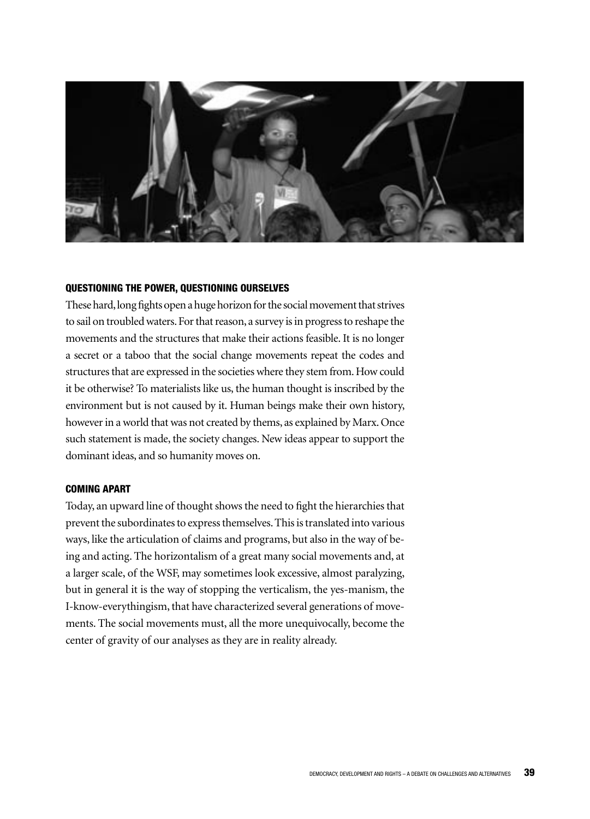

#### QUESTIONING THE POWER, QUESTIONING OURSELVES

These hard, long fights open a huge horizon for the social movement that strives to sail on troubled waters. For that reason, a survey is in progress to reshape the movements and the structures that make their actions feasible. It is no longer a secret or a taboo that the social change movements repeat the codes and structures that are expressed in the societies where they stem from. How could it be otherwise? To materialists like us, the human thought is inscribed by the environment but is not caused by it. Human beings make their own history, however in a world that was not created by thems, as explained by Marx. Once such statement is made, the society changes. New ideas appear to support the dominant ideas, and so humanity moves on.

#### COMING APART

Today, an upward line of thought shows the need to fight the hierarchies that prevent the subordinates to express themselves. This is translated into various ways, like the articulation of claims and programs, but also in the way of being and acting. The horizontalism of a great many social movements and, at a larger scale, of the WSF, may sometimes look excessive, almost paralyzing, but in general it is the way of stopping the verticalism, the yes-manism, the I-know-everythingism, that have characterized several generations of movements. The social movements must, all the more unequivocally, become the center of gravity of our analyses as they are in reality already.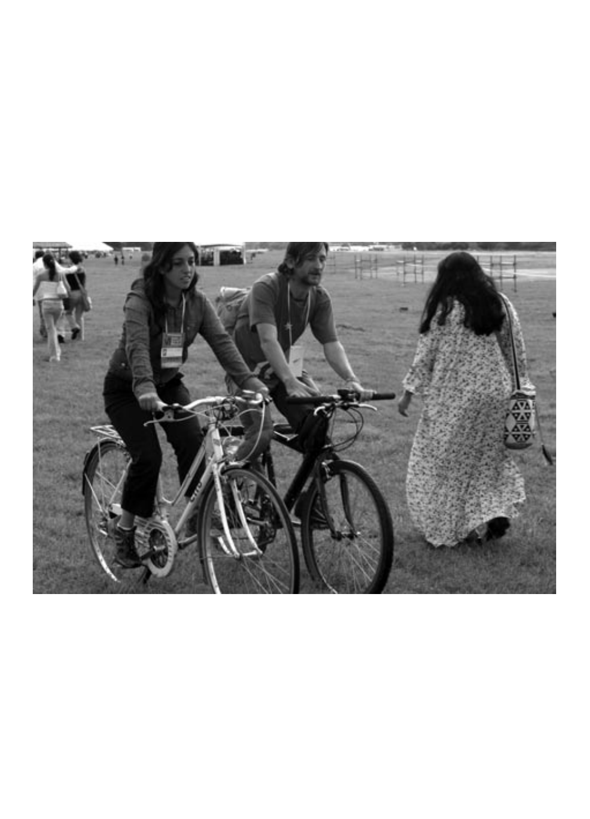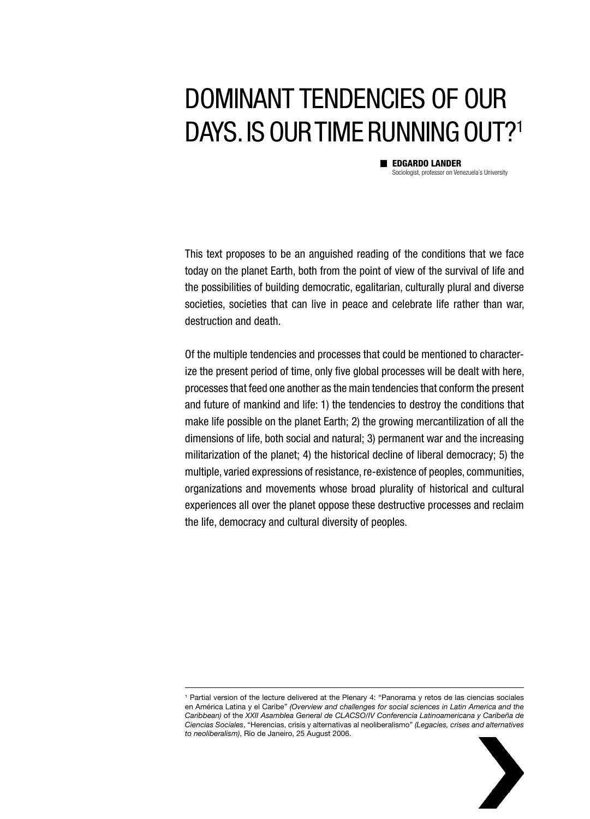# DOMINANT TENDENCIES OF OUR DAYS. IS OUR TIME RUNNING OUT?<sup>1</sup>

#### **EDGARDO LANDER**

Sociologist, professor on Venezuela´s University

This text proposes to be an anguished reading of the conditions that we face today on the planet Earth, both from the point of view of the survival of life and the possibilities of building democratic, egalitarian, culturally plural and diverse societies, societies that can live in peace and celebrate life rather than war, destruction and death.

Of the multiple tendencies and processes that could be mentioned to characterize the present period of time, only five global processes will be dealt with here, processes that feed one another as the main tendencies that conform the present and future of mankind and life: 1) the tendencies to destroy the conditions that make life possible on the planet Earth; 2) the growing mercantilization of all the dimensions of life, both social and natural; 3) permanent war and the increasing militarization of the planet; 4) the historical decline of liberal democracy; 5) the multiple, varied expressions of resistance, re-existence of peoples, communities, organizations and movements whose broad plurality of historical and cultural experiences all over the planet oppose these destructive processes and reclaim the life, democracy and cultural diversity of peoples.

<sup>1</sup> Partial version of the lecture delivered at the Plenary 4: "Panorama y retos de las ciencias sociales en América Latina y el Caribe" *(Overview and challenges for social sciences in Latin America and the Caribbean)* of the *XXII Asamblea General de CLACSO/IV Conferencia Latinoamericana y Caribeña de Ciencias Sociales*, "Herencias, crisis y alternativas al neoliberalismo" *(Legacies, crises and alternatives to neoliberalism)*, Río de Janeiro, 25 August 2006.

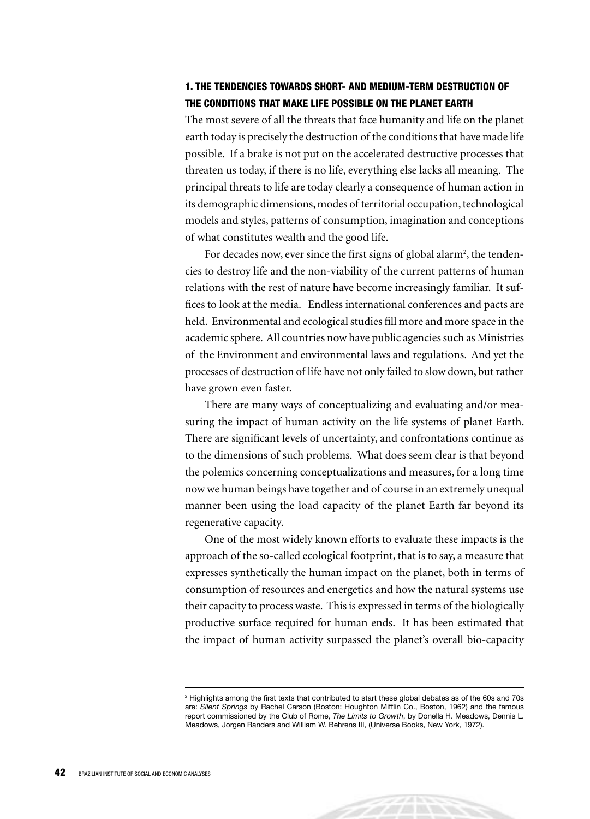# 1. THE TENDENCIES TOWARDS SHORT- AND MEDIUM-TERM DESTRUCTION OF THE CONDITIONS THAT MAKE LIFE POSSIBLE ON THE PLANET EARTH

The most severe of all the threats that face humanity and life on the planet earth today is precisely the destruction of the conditions that have made life possible. If a brake is not put on the accelerated destructive processes that threaten us today, if there is no life, everything else lacks all meaning. The principal threats to life are today clearly a consequence of human action in its demographic dimensions, modes of territorial occupation, technological models and styles, patterns of consumption, imagination and conceptions of what constitutes wealth and the good life.

For decades now, ever since the first signs of global alarm<sup>2</sup>, the tendencies to destroy life and the non-viability of the current patterns of human relations with the rest of nature have become increasingly familiar. It suffices to look at the media. Endless international conferences and pacts are held. Environmental and ecological studies fill more and more space in the academic sphere. All countries now have public agencies such as Ministries of the Environment and environmental laws and regulations. And yet the processes of destruction of life have not only failed to slow down, but rather have grown even faster.

There are many ways of conceptualizing and evaluating and/or measuring the impact of human activity on the life systems of planet Earth. There are significant levels of uncertainty, and confrontations continue as to the dimensions of such problems. What does seem clear is that beyond the polemics concerning conceptualizations and measures, for a long time now we human beings have together and of course in an extremely unequal manner been using the load capacity of the planet Earth far beyond its regenerative capacity.

One of the most widely known efforts to evaluate these impacts is the approach of the so-called ecological footprint, that is to say, a measure that expresses synthetically the human impact on the planet, both in terms of consumption of resources and energetics and how the natural systems use their capacity to process waste. This is expressed in terms of the biologically productive surface required for human ends. It has been estimated that the impact of human activity surpassed the planet's overall bio-capacity

<sup>2</sup> Highlights among the first texts that contributed to start these global debates as of the 60s and 70s are: *Silent Springs* by Rachel Carson (Boston: Houghton Mifflin Co., Boston, 1962) and the famous report commissioned by the Club of Rome, *The Limits to Growth*, by Donella H. Meadows, Dennis L. Meadows, Jorgen Randers and William W. Behrens III, (Universe Books, New York, 1972).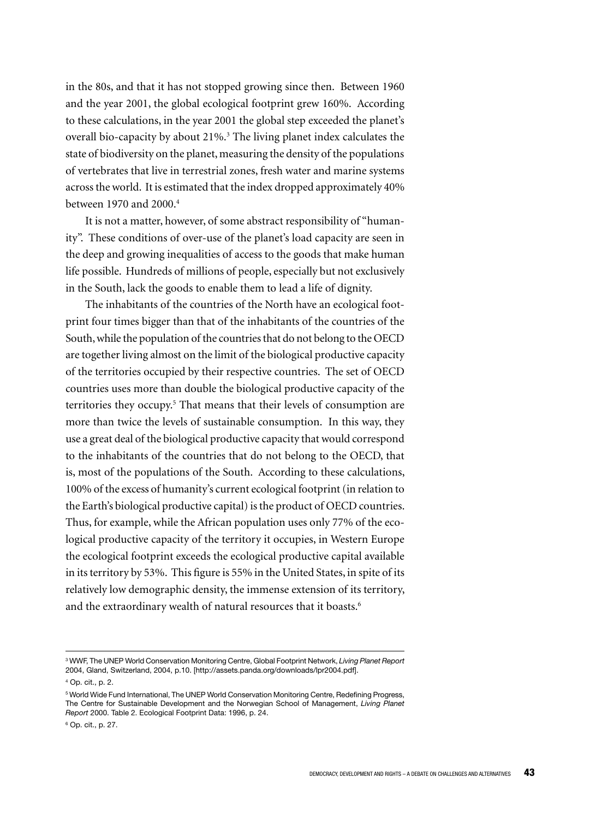in the 80s, and that it has not stopped growing since then. Between 1960 and the year 2001, the global ecological footprint grew 160%. According to these calculations, in the year 2001 the global step exceeded the planet's overall bio-capacity by about 21%.<sup>3</sup> The living planet index calculates the state of biodiversity on the planet, measuring the density of the populations of vertebrates that live in terrestrial zones, fresh water and marine systems across the world. It is estimated that the index dropped approximately 40% between 1970 and 2000.4

It is not a matter, however, of some abstract responsibility of "humanity". These conditions of over-use of the planet's load capacity are seen in the deep and growing inequalities of access to the goods that make human life possible. Hundreds of millions of people, especially but not exclusively in the South, lack the goods to enable them to lead a life of dignity.

The inhabitants of the countries of the North have an ecological footprint four times bigger than that of the inhabitants of the countries of the South, while the population of the countries that do not belong to the OECD are together living almost on the limit of the biological productive capacity of the territories occupied by their respective countries. The set of OECD countries uses more than double the biological productive capacity of the territories they occupy.<sup>5</sup> That means that their levels of consumption are more than twice the levels of sustainable consumption. In this way, they use a great deal of the biological productive capacity that would correspond to the inhabitants of the countries that do not belong to the OECD, that is, most of the populations of the South. According to these calculations, 100% of the excess of humanity's current ecological footprint (in relation to the Earth's biological productive capital) is the product of OECD countries. Thus, for example, while the African population uses only 77% of the ecological productive capacity of the territory it occupies, in Western Europe the ecological footprint exceeds the ecological productive capital available in its territory by 53%. This figure is 55% in the United States, in spite of its relatively low demographic density, the immense extension of its territory, and the extraordinary wealth of natural resources that it boasts.<sup>6</sup>

<sup>3</sup> WWF, The UNEP World Conservation Monitoring Centre, Global Footprint Network, *Living Planet Report*  2004, Gland, Switzerland, 2004, p.10. [http://assets.panda.org/downloads/lpr2004.pdf].

<sup>4</sup> Op. cit., p. 2.

<sup>5</sup> World Wide Fund International, The UNEP World Conservation Monitoring Centre, Redefining Progress, The Centre for Sustainable Development and the Norwegian School of Management, *Living Planet Report* 2000. Table 2. Ecological Footprint Data: 1996, p. 24.

<sup>6</sup> Op. cit., p. 27.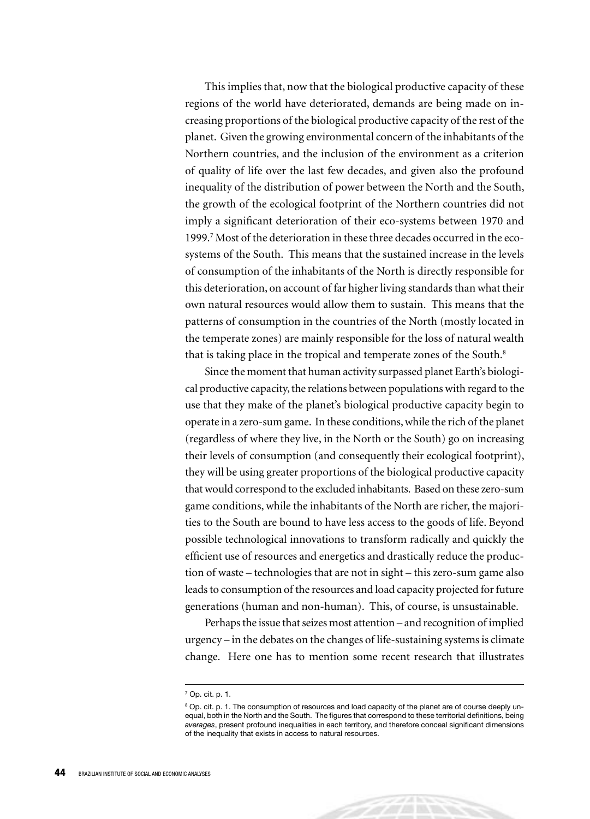This implies that, now that the biological productive capacity of these regions of the world have deteriorated, demands are being made on increasing proportions of the biological productive capacity of the rest of the planet. Given the growing environmental concern of the inhabitants of the Northern countries, and the inclusion of the environment as a criterion of quality of life over the last few decades, and given also the profound inequality of the distribution of power between the North and the South, the growth of the ecological footprint of the Northern countries did not imply a significant deterioration of their eco-systems between 1970 and 1999.7 Most of the deterioration in these three decades occurred in the ecosystems of the South. This means that the sustained increase in the levels of consumption of the inhabitants of the North is directly responsible for this deterioration, on account of far higher living standards than what their own natural resources would allow them to sustain. This means that the patterns of consumption in the countries of the North (mostly located in the temperate zones) are mainly responsible for the loss of natural wealth that is taking place in the tropical and temperate zones of the South.<sup>8</sup>

Since the moment that human activity surpassed planet Earth's biological productive capacity, the relations between populations with regard to the use that they make of the planet's biological productive capacity begin to operate in a zero-sum game. In these conditions, while the rich of the planet (regardless of where they live, in the North or the South) go on increasing their levels of consumption (and consequently their ecological footprint), they will be using greater proportions of the biological productive capacity that would correspond to the excluded inhabitants. Based on these zero-sum game conditions, while the inhabitants of the North are richer, the majorities to the South are bound to have less access to the goods of life. Beyond possible technological innovations to transform radically and quickly the efficient use of resources and energetics and drastically reduce the production of waste – technologies that are not in sight – this zero-sum game also leads to consumption of the resources and load capacity projected for future generations (human and non-human). This, of course, is unsustainable.

Perhaps the issue that seizes most attention – and recognition of implied urgency – in the debates on the changes of life-sustaining systems is climate change. Here one has to mention some recent research that illustrates

<sup>7</sup> Op. cit. p. 1.

<sup>&</sup>lt;sup>8</sup> Op. cit. p. 1. The consumption of resources and load capacity of the planet are of course deeply unequal, both in the North and the South. The figures that correspond to these territorial definitions, being *averages*, present profound inequalities in each territory, and therefore conceal significant dimensions of the inequality that exists in access to natural resources.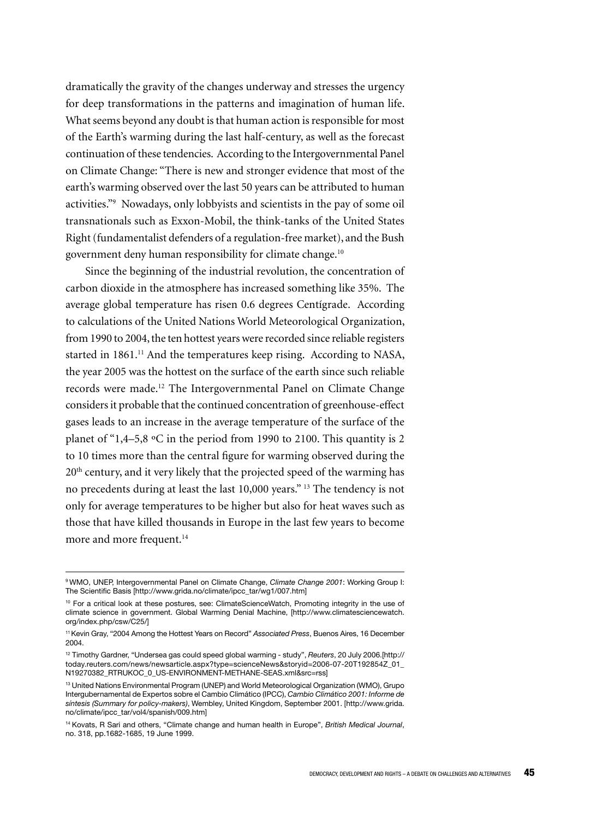dramatically the gravity of the changes underway and stresses the urgency for deep transformations in the patterns and imagination of human life. What seems beyond any doubt is that human action is responsible for most of the Earth's warming during the last half-century, as well as the forecast continuation of these tendencies. According to the Intergovernmental Panel on Climate Change: "There is new and stronger evidence that most of the earth's warming observed over the last 50 years can be attributed to human activities."9 Nowadays, only lobbyists and scientists in the pay of some oil transnationals such as Exxon-Mobil, the think-tanks of the United States Right (fundamentalist defenders of a regulation-free market), and the Bush government deny human responsibility for climate change.<sup>10</sup>

Since the beginning of the industrial revolution, the concentration of carbon dioxide in the atmosphere has increased something like 35%. The average global temperature has risen 0.6 degrees Centígrade. According to calculations of the United Nations World Meteorological Organization, from 1990 to 2004, the ten hottest years were recorded since reliable registers started in 1861.<sup>11</sup> And the temperatures keep rising. According to NASA, the year 2005 was the hottest on the surface of the earth since such reliable records were made.12 The Intergovernmental Panel on Climate Change considers it probable that the continued concentration of greenhouse-effect gases leads to an increase in the average temperature of the surface of the planet of "1,4–5,8  $\textdegree$ C in the period from 1990 to 2100. This quantity is 2 to 10 times more than the central figure for warming observed during the 20<sup>th</sup> century, and it very likely that the projected speed of the warming has no precedents during at least the last 10,000 years." 13 The tendency is not only for average temperatures to be higher but also for heat waves such as those that have killed thousands in Europe in the last few years to become more and more frequent.<sup>14</sup>

<sup>9</sup> WMO, UNEP, Intergovernmental Panel on Climate Change, *Climate Change 2001*: Working Group I: The Scientific Basis [http://www.grida.no/climate/ipcc\_tar/wg1/007.htm]

<sup>10</sup> For a critical look at these postures, see: ClimateScienceWatch, Promoting integrity in the use of climate science in government. Global Warming Denial Machine, [http://www.climatesciencewatch. org/index.php/csw/C25/]

<sup>11</sup> Kevin Gray, "2004 Among the Hottest Years on Record" *Associated Press*, Buenos Aires, 16 December 2004.

<sup>12</sup> Timothy Gardner, "Undersea gas could speed global warming - study", *Reuters*, 20 July 2006.[http:// today.reuters.com/news/newsarticle.aspx?type=scienceNews&storyid=2006-07-20T192854Z\_01\_ N19270382\_RTRUKOC\_0\_US-ENVIRONMENT-METHANE-SEAS.xml&src=rss]

<sup>13</sup> United Nations Environmental Program (UNEP) and World Meteorological Organization (WMO), Grupo Intergubernamental de Expertos sobre el Cambio Climático (IPCC), *Cambio Climático 2001: Informe de síntesis (Summary for policy-makers)*, Wembley, United Kingdom, September 2001. [http://www.grida. no/climate/ipcc\_tar/vol4/spanish/009.htm]

<sup>14</sup> Kovats, R Sari and others, "Climate change and human health in Europe", *British Medical Journal*, no. 318, pp.1682-1685, 19 June 1999.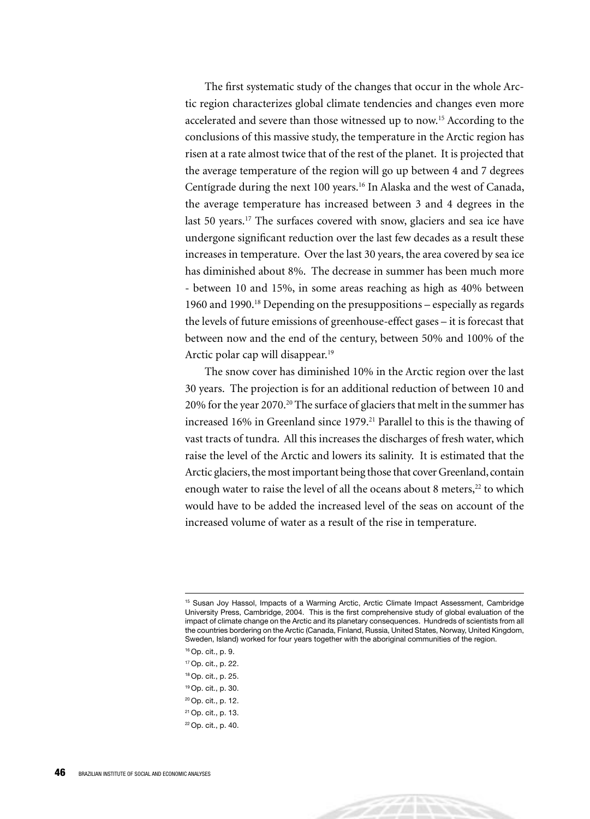The first systematic study of the changes that occur in the whole Arctic region characterizes global climate tendencies and changes even more accelerated and severe than those witnessed up to now.15 According to the conclusions of this massive study, the temperature in the Arctic region has risen at a rate almost twice that of the rest of the planet. It is projected that the average temperature of the region will go up between 4 and 7 degrees Centígrade during the next 100 years.<sup>16</sup> In Alaska and the west of Canada, the average temperature has increased between 3 and 4 degrees in the last 50 years.<sup>17</sup> The surfaces covered with snow, glaciers and sea ice have undergone significant reduction over the last few decades as a result these increases in temperature. Over the last 30 years, the area covered by sea ice has diminished about 8%. The decrease in summer has been much more - between 10 and 15%, in some areas reaching as high as 40% between 1960 and 1990.18 Depending on the presuppositions – especially as regards the levels of future emissions of greenhouse-effect gases – it is forecast that between now and the end of the century, between 50% and 100% of the Arctic polar cap will disappear.<sup>19</sup>

The snow cover has diminished 10% in the Arctic region over the last 30 years. The projection is for an additional reduction of between 10 and 20% for the year 2070.20 The surface of glaciers that melt in the summer has increased 16% in Greenland since 1979.<sup>21</sup> Parallel to this is the thawing of vast tracts of tundra. All this increases the discharges of fresh water, which raise the level of the Arctic and lowers its salinity. It is estimated that the Arctic glaciers, the most important being those that cover Greenland, contain enough water to raise the level of all the oceans about 8 meters,<sup>22</sup> to which would have to be added the increased level of the seas on account of the increased volume of water as a result of the rise in temperature.

<sup>15</sup> Susan Joy Hassol, Impacts of a Warming Arctic, Arctic Climate Impact Assessment, Cambridge University Press, Cambridge, 2004. This is the first comprehensive study of global evaluation of the impact of climate change on the Arctic and its planetary consequences. Hundreds of scientists from all the countries bordering on the Arctic (Canada, Finland, Russia, United States, Norway, United Kingdom, Sweden, Island) worked for four years together with the aboriginal communities of the region.

<sup>16</sup> Op. cit., p. 9.

<sup>17</sup> Op. cit., p. 22.

<sup>18</sup> Op. cit., p. 25.

<sup>19</sup> Op. cit., p. 30.

<sup>20</sup> Op. cit., p. 12.

<sup>21</sup> Op. cit., p. 13. <sup>22</sup> Op. cit., p. 40.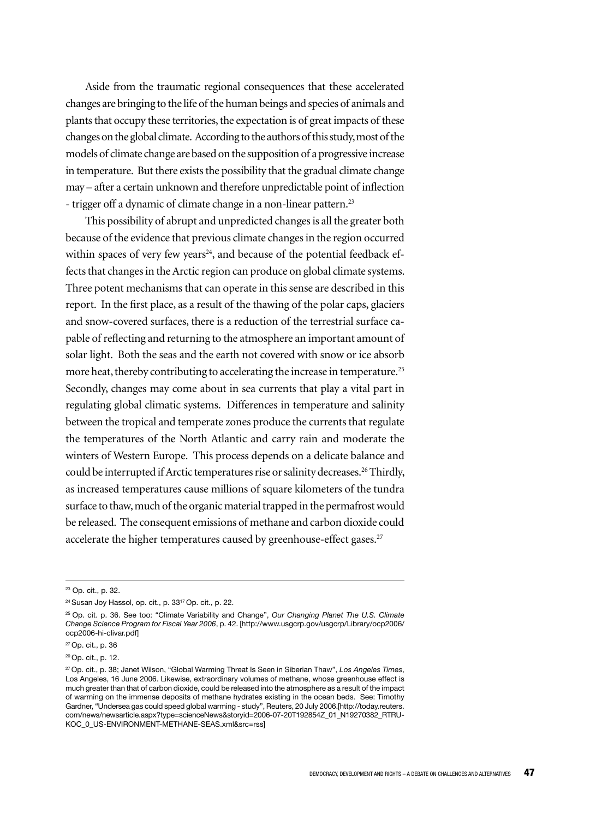Aside from the traumatic regional consequences that these accelerated changes are bringing to the life of the human beings and species of animals and plants that occupy these territories, the expectation is of great impacts of these changes on the global climate. According to the authors of this study, most of the models of climate change are based on the supposition of a progressive increase in temperature. But there exists the possibility that the gradual climate change may – after a certain unknown and therefore unpredictable point of inflection - trigger off a dynamic of climate change in a non-linear pattern.<sup>23</sup>

This possibility of abrupt and unpredicted changes is all the greater both because of the evidence that previous climate changes in the region occurred within spaces of very few years<sup>24</sup>, and because of the potential feedback effects that changes in the Arctic region can produce on global climate systems. Three potent mechanisms that can operate in this sense are described in this report. In the first place, as a result of the thawing of the polar caps, glaciers and snow-covered surfaces, there is a reduction of the terrestrial surface capable of reflecting and returning to the atmosphere an important amount of solar light. Both the seas and the earth not covered with snow or ice absorb more heat, thereby contributing to accelerating the increase in temperature.25 Secondly, changes may come about in sea currents that play a vital part in regulating global climatic systems. Differences in temperature and salinity between the tropical and temperate zones produce the currents that regulate the temperatures of the North Atlantic and carry rain and moderate the winters of Western Europe. This process depends on a delicate balance and could be interrupted if Arctic temperatures rise or salinity decreases.<sup>26</sup> Thirdly, as increased temperatures cause millions of square kilometers of the tundra surface to thaw, much of the organic material trapped in the permafrost would be released. The consequent emissions of methane and carbon dioxide could accelerate the higher temperatures caused by greenhouse-effect gases.<sup>27</sup>

<sup>23</sup> Op. cit., p. 32.

<sup>24</sup> Susan Joy Hassol, op. cit., p. 3317 Op. cit., p. 22.

<sup>25</sup> Op. cit. p. 36. See too: "Climate Variability and Change", *Our Changing Planet The U.S. Climate Change Science Program for Fiscal Year 2006*, p. 42. [http://www.usgcrp.gov/usgcrp/Library/ocp2006/ ocp2006-hi-clivar.pdf]

<sup>27</sup> Op. cit., p. 36

<sup>20</sup> Op. cit., p. 12.

<sup>27</sup>Op. cit., p. 38; Janet Wilson, "Global Warming Threat Is Seen in Siberian Thaw", *Los Angeles Times*, Los Angeles, 16 June 2006. Likewise, extraordinary volumes of methane, whose greenhouse effect is much greater than that of carbon dioxide, could be released into the atmosphere as a result of the impact of warming on the immense deposits of methane hydrates existing in the ocean beds. See: Timothy Gardner, "Undersea gas could speed global warming - study", Reuters, 20 July 2006.[http://today.reuters. com/news/newsarticle.aspx?type=scienceNews&storyid=2006-07-20T192854Z\_01\_N19270382\_RTRU-KOC\_0\_US-ENVIRONMENT-METHANE-SEAS.xml&src=rss]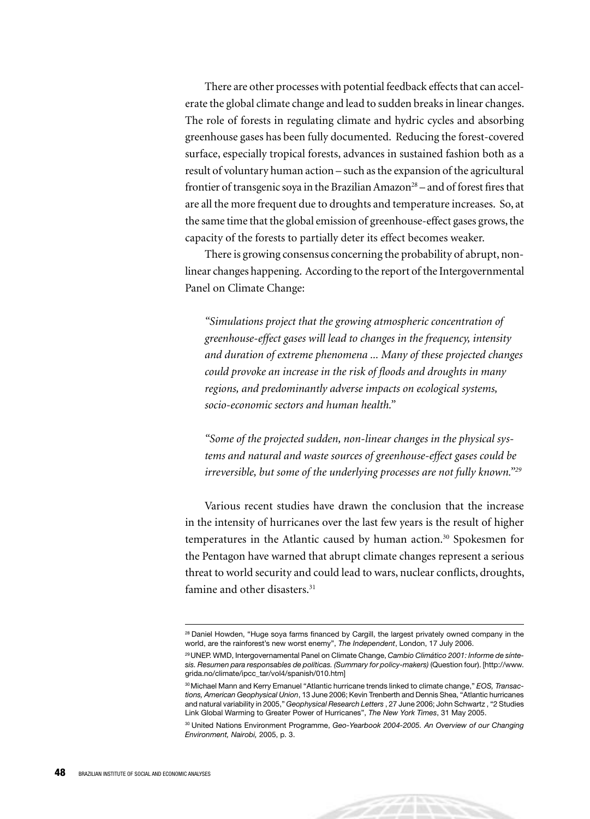There are other processes with potential feedback effects that can accelerate the global climate change and lead to sudden breaks in linear changes. The role of forests in regulating climate and hydric cycles and absorbing greenhouse gases has been fully documented. Reducing the forest-covered surface, especially tropical forests, advances in sustained fashion both as a result of voluntary human action – such as the expansion of the agricultural frontier of transgenic soya in the Brazilian Amazon<sup>28</sup> – and of forest fires that are all the more frequent due to droughts and temperature increases. So, at the same time that the global emission of greenhouse-effect gases grows, the capacity of the forests to partially deter its effect becomes weaker.

There is growing consensus concerning the probability of abrupt, nonlinear changes happening. According to the report of the Intergovernmental Panel on Climate Change:

*"Simulations project that the growing atmospheric concentration of greenhouse-effect gases will lead to changes in the frequency, intensity and duration of extreme phenomena ... Many of these projected changes could provoke an increase in the risk of floods and droughts in many regions, and predominantly adverse impacts on ecological systems, socio-economic sectors and human health."*

*"Some of the projected sudden, non-linear changes in the physical systems and natural and waste sources of greenhouse-effect gases could be irreversible, but some of the underlying processes are not fully known."29*

Various recent studies have drawn the conclusion that the increase in the intensity of hurricanes over the last few years is the result of higher temperatures in the Atlantic caused by human action.<sup>30</sup> Spokesmen for the Pentagon have warned that abrupt climate changes represent a serious threat to world security and could lead to wars, nuclear conflicts, droughts, famine and other disasters.<sup>31</sup>

<sup>&</sup>lt;sup>28</sup> Daniel Howden, "Huge soya farms financed by Cargill, the largest privately owned company in the world, are the rainforest's new worst enemy", *The Independent*, London, 17 July 2006.

<sup>29</sup> UNEP. WMD, Intergovernamental Panel on Climate Change, *Cambio Climático 2001: Informe de síntesis. Resumen para responsables de políticas. (Summary for policy-makers)* (Question four). [http://www. grida.no/climate/ipcc\_tar/vol4/spanish/010.html

<sup>30</sup>Michael Mann and Kerry Emanuel "Atlantic hurricane trends linked to climate change," *EOS, Transactions, American Geophysical Union*, 13 June 2006; Kevin Trenberth and Dennis Shea, "Atlantic hurricanes and natural variability in 2005," *Geophysical Research Letters* , 27 June 2006; John Schwartz , "2 Studies Link Global Warming to Greater Power of Hurricanes", *The New York Times*, 31 May 2005.

<sup>30</sup> United Nations Environment Programme, *Geo-Yearbook 2004-2005. An Overview of our Changing Environment, Nairobi,* 2005, p. 3.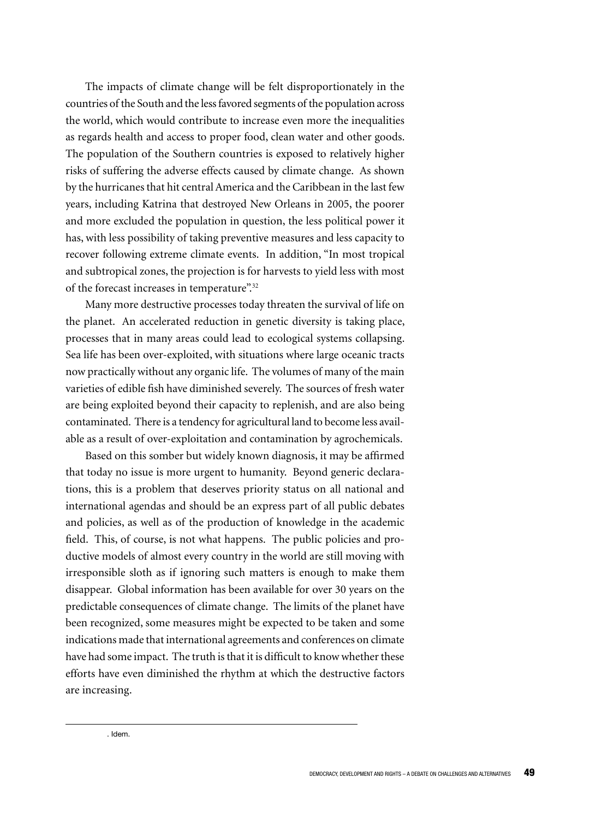The impacts of climate change will be felt disproportionately in the countries of the South and the less favored segments of the population across the world, which would contribute to increase even more the inequalities as regards health and access to proper food, clean water and other goods. The population of the Southern countries is exposed to relatively higher risks of suffering the adverse effects caused by climate change. As shown by the hurricanes that hit central America and the Caribbean in the last few years, including Katrina that destroyed New Orleans in 2005, the poorer and more excluded the population in question, the less political power it has, with less possibility of taking preventive measures and less capacity to recover following extreme climate events. In addition, "In most tropical and subtropical zones, the projection is for harvests to yield less with most of the forecast increases in temperature".32

Many more destructive processes today threaten the survival of life on the planet. An accelerated reduction in genetic diversity is taking place, processes that in many areas could lead to ecological systems collapsing. Sea life has been over-exploited, with situations where large oceanic tracts now practically without any organic life. The volumes of many of the main varieties of edible fish have diminished severely. The sources of fresh water are being exploited beyond their capacity to replenish, and are also being contaminated. There is a tendency for agricultural land to become less available as a result of over-exploitation and contamination by agrochemicals.

Based on this somber but widely known diagnosis, it may be affirmed that today no issue is more urgent to humanity. Beyond generic declarations, this is a problem that deserves priority status on all national and international agendas and should be an express part of all public debates and policies, as well as of the production of knowledge in the academic field. This, of course, is not what happens. The public policies and productive models of almost every country in the world are still moving with irresponsible sloth as if ignoring such matters is enough to make them disappear. Global information has been available for over 30 years on the predictable consequences of climate change. The limits of the planet have been recognized, some measures might be expected to be taken and some indications made that international agreements and conferences on climate have had some impact. The truth is that it is difficult to know whether these efforts have even diminished the rhythm at which the destructive factors are increasing.

. Idem.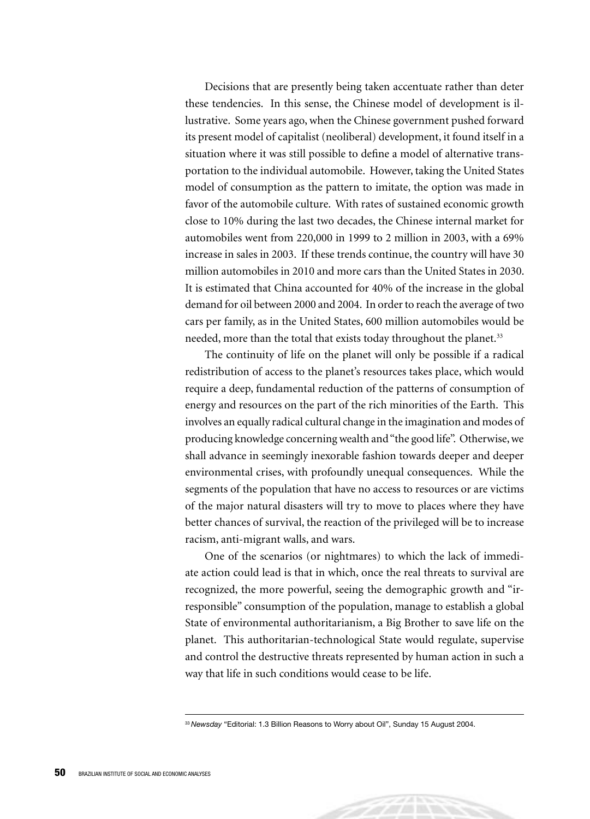Decisions that are presently being taken accentuate rather than deter these tendencies. In this sense, the Chinese model of development is illustrative. Some years ago, when the Chinese government pushed forward its present model of capitalist (neoliberal) development, it found itself in a situation where it was still possible to define a model of alternative transportation to the individual automobile. However, taking the United States model of consumption as the pattern to imitate, the option was made in favor of the automobile culture. With rates of sustained economic growth close to 10% during the last two decades, the Chinese internal market for automobiles went from 220,000 in 1999 to 2 million in 2003, with a 69% increase in sales in 2003. If these trends continue, the country will have 30 million automobiles in 2010 and more cars than the United States in 2030. It is estimated that China accounted for 40% of the increase in the global demand for oil between 2000 and 2004. In order to reach the average of two cars per family, as in the United States, 600 million automobiles would be needed, more than the total that exists today throughout the planet.<sup>33</sup>

The continuity of life on the planet will only be possible if a radical redistribution of access to the planet's resources takes place, which would require a deep, fundamental reduction of the patterns of consumption of energy and resources on the part of the rich minorities of the Earth. This involves an equally radical cultural change in the imagination and modes of producing knowledge concerning wealth and "the good life". Otherwise, we shall advance in seemingly inexorable fashion towards deeper and deeper environmental crises, with profoundly unequal consequences. While the segments of the population that have no access to resources or are victims of the major natural disasters will try to move to places where they have better chances of survival, the reaction of the privileged will be to increase racism, anti-migrant walls, and wars.

One of the scenarios (or nightmares) to which the lack of immediate action could lead is that in which, once the real threats to survival are recognized, the more powerful, seeing the demographic growth and "irresponsible" consumption of the population, manage to establish a global State of environmental authoritarianism, a Big Brother to save life on the planet. This authoritarian-technological State would regulate, supervise and control the destructive threats represented by human action in such a way that life in such conditions would cease to be life.

<sup>33</sup> *Newsday* "Editorial: 1.3 Billion Reasons to Worry about Oil", Sunday 15 August 2004.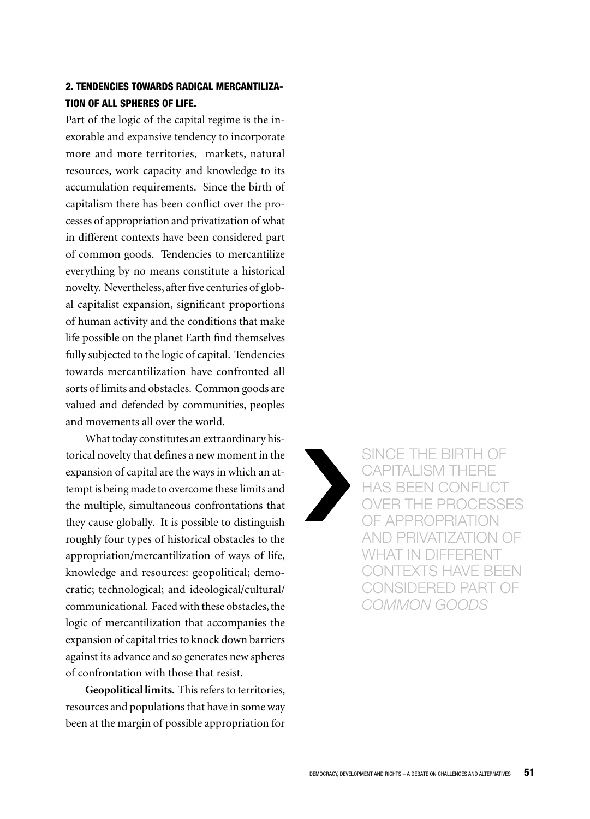# 2. TENDENCIES TOWARDS RADICAL MERCANTILIZA-TION OF ALL SPHERES OF LIFE.

Part of the logic of the capital regime is the inexorable and expansive tendency to incorporate more and more territories, markets, natural resources, work capacity and knowledge to its accumulation requirements. Since the birth of capitalism there has been conflict over the processes of appropriation and privatization of what in different contexts have been considered part of common goods. Tendencies to mercantilize everything by no means constitute a historical novelty. Nevertheless, after five centuries of global capitalist expansion, significant proportions of human activity and the conditions that make life possible on the planet Earth find themselves fully subjected to the logic of capital. Tendencies towards mercantilization have confronted all sorts of limits and obstacles. Common goods are valued and defended by communities, peoples and movements all over the world.

What today constitutes an extraordinary historical novelty that defines a new moment in the expansion of capital are the ways in which an attempt is being made to overcome these limits and the multiple, simultaneous confrontations that they cause globally. It is possible to distinguish roughly four types of historical obstacles to the appropriation/mercantilization of ways of life, knowledge and resources: geopolitical; democratic; technological; and ideological/cultural/ communicational. Faced with these obstacles, the logic of mercantilization that accompanies the expansion of capital tries to knock down barriers against its advance and so generates new spheres of confrontation with those that resist.

**Geopolitical limits.** This refers to territories, resources and populations that have in some way been at the margin of possible appropriation for

SINCE THE BIRTH OF CAPITALISM THERE S BEEN CONFLICT THE PROCESSES OF APPROPRIATION PRIVATIZATION OF WHAT IN DIFFERENT CONTEXTS HAVE BEEN CONSIDERED PART OF *COMMON GOODS*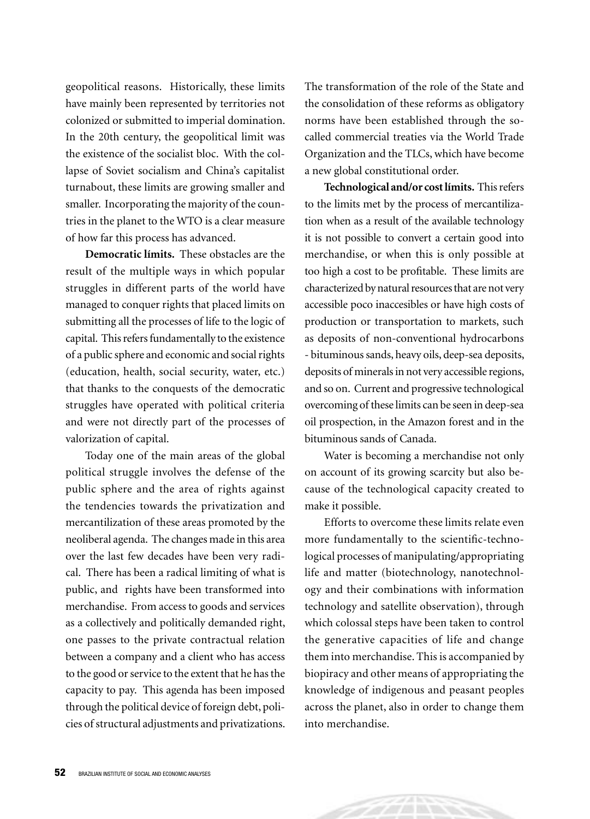geopolitical reasons. Historically, these limits have mainly been represented by territories not colonized or submitted to imperial domination. In the 20th century, the geopolitical limit was the existence of the socialist bloc. With the collapse of Soviet socialism and China's capitalist turnabout, these limits are growing smaller and smaller. Incorporating the majority of the countries in the planet to the WTO is a clear measure of how far this process has advanced.

**Democratic límits.** These obstacles are the result of the multiple ways in which popular struggles in different parts of the world have managed to conquer rights that placed limits on submitting all the processes of life to the logic of capital. This refers fundamentally to the existence of a public sphere and economic and social rights (education, health, social security, water, etc.) that thanks to the conquests of the democratic struggles have operated with political criteria and were not directly part of the processes of valorization of capital.

Today one of the main areas of the global political struggle involves the defense of the public sphere and the area of rights against the tendencies towards the privatization and mercantilization of these areas promoted by the neoliberal agenda. The changes made in this area over the last few decades have been very radical. There has been a radical limiting of what is public, and rights have been transformed into merchandise. From access to goods and services as a collectively and politically demanded right, one passes to the private contractual relation between a company and a client who has access to the good or service to the extent that he has the capacity to pay. This agenda has been imposed through the political device of foreign debt, policies of structural adjustments and privatizations. The transformation of the role of the State and the consolidation of these reforms as obligatory norms have been established through the socalled commercial treaties via the World Trade Organization and the TLCs, which have become a new global constitutional order.

**Technological and/or cost límits.** This refers to the limits met by the process of mercantilization when as a result of the available technology it is not possible to convert a certain good into merchandise, or when this is only possible at too high a cost to be profitable. These limits are characterized by natural resources that are not very accessible poco inaccesibles or have high costs of production or transportation to markets, such as deposits of non-conventional hydrocarbons - bituminous sands, heavy oils, deep-sea deposits, deposits of minerals in not very accessible regions, and so on. Current and progressive technological overcoming of these limits can be seen in deep-sea oil prospection, in the Amazon forest and in the bituminous sands of Canada.

Water is becoming a merchandise not only on account of its growing scarcity but also because of the technological capacity created to make it possible.

Efforts to overcome these limits relate even more fundamentally to the scientific-technological processes of manipulating/appropriating life and matter (biotechnology, nanotechnology and their combinations with information technology and satellite observation), through which colossal steps have been taken to control the generative capacities of life and change them into merchandise. This is accompanied by biopiracy and other means of appropriating the knowledge of indigenous and peasant peoples across the planet, also in order to change them into merchandise.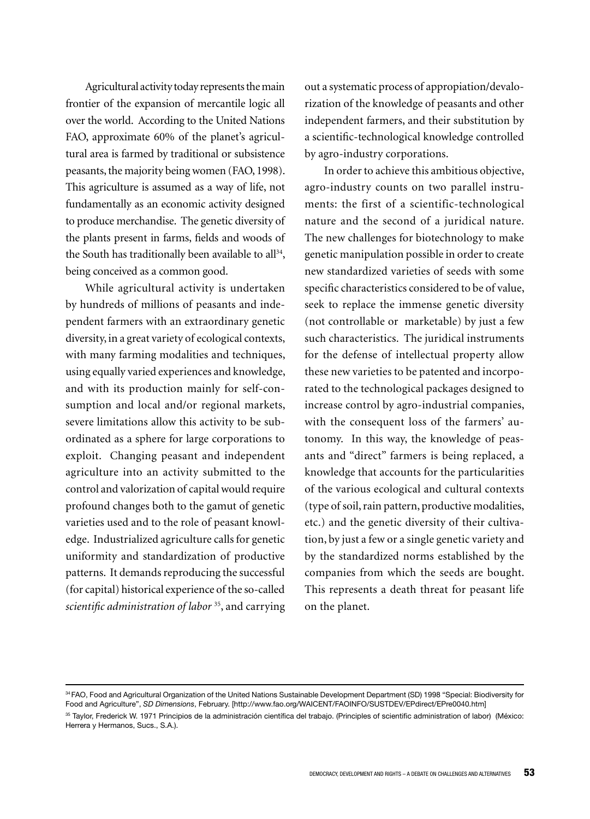Agricultural activity today represents the main frontier of the expansion of mercantile logic all over the world. According to the United Nations FAO, approximate 60% of the planet's agricultural area is farmed by traditional or subsistence peasants, the majority being women (FAO, 1998). This agriculture is assumed as a way of life, not fundamentally as an economic activity designed to produce merchandise. The genetic diversity of the plants present in farms, fields and woods of the South has traditionally been available to all<sup>34</sup>, being conceived as a common good.

While agricultural activity is undertaken by hundreds of millions of peasants and independent farmers with an extraordinary genetic diversity, in a great variety of ecological contexts, with many farming modalities and techniques, using equally varied experiences and knowledge, and with its production mainly for self-consumption and local and/or regional markets, severe limitations allow this activity to be subordinated as a sphere for large corporations to exploit. Changing peasant and independent agriculture into an activity submitted to the control and valorization of capital would require profound changes both to the gamut of genetic varieties used and to the role of peasant knowledge. Industrialized agriculture calls for genetic uniformity and standardization of productive patterns. It demands reproducing the successful (for capital) historical experience of the so-called *scientific administration of labor* 35, and carrying out a systematic process of appropiation/devalorization of the knowledge of peasants and other independent farmers, and their substitution by a scientific-technological knowledge controlled by agro-industry corporations.

In order to achieve this ambitious objective, agro-industry counts on two parallel instruments: the first of a scientific-technological nature and the second of a juridical nature. The new challenges for biotechnology to make genetic manipulation possible in order to create new standardized varieties of seeds with some specific characteristics considered to be of value, seek to replace the immense genetic diversity (not controllable or marketable) by just a few such characteristics. The juridical instruments for the defense of intellectual property allow these new varieties to be patented and incorporated to the technological packages designed to increase control by agro-industrial companies, with the consequent loss of the farmers' autonomy. In this way, the knowledge of peasants and "direct" farmers is being replaced, a knowledge that accounts for the particularities of the various ecological and cultural contexts (type of soil, rain pattern, productive modalities, etc.) and the genetic diversity of their cultivation, by just a few or a single genetic variety and by the standardized norms established by the companies from which the seeds are bought. This represents a death threat for peasant life on the planet.

<sup>34</sup> FAO, Food and Agricultural Organization of the United Nations Sustainable Development Department (SD) 1998 "Special: Biodiversity for Food and Agriculture", *SD Dimensions*, February. [http://www.fao.org/WAICENT/FAOINFO/SUSTDEV/EPdirect/EPre0040.htm]

<sup>35</sup> Taylor, Frederick W. 1971 Principios de la administración científica del trabajo. (Principles of scientific administration of labor) (México: Herrera y Hermanos, Sucs., S.A.).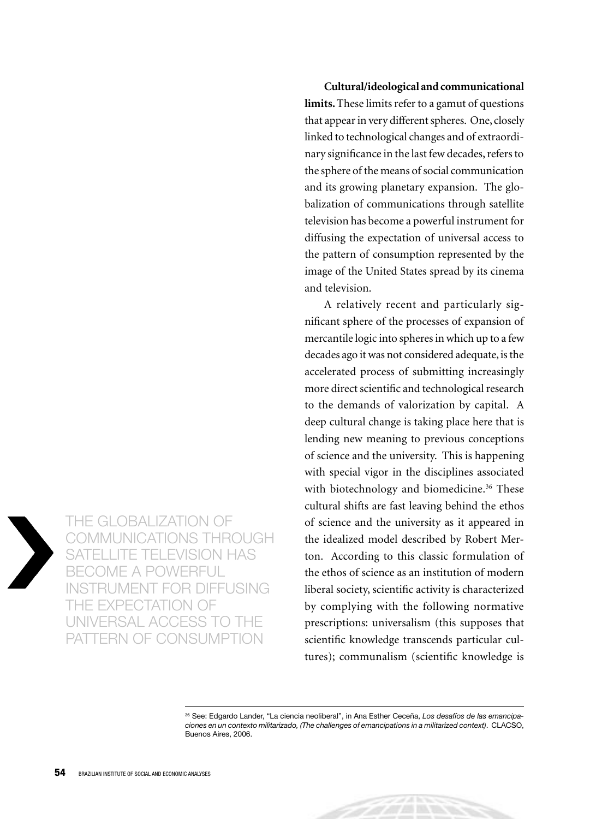THE GLOBALIZATION OF MMUNICATIONS THROUGH **FVISION HAS** DME A POWERFUL DIFFUSING DTATION OF DESS TO THE TERN OF CONSUMPTION

**Cultural/ideological and communicational limits.**These limits refer to a gamut of questions that appear in very different spheres. One, closely linked to technological changes and of extraordinary significance in the last few decades, refers to the sphere of the means of social communication and its growing planetary expansion. The globalization of communications through satellite television has become a powerful instrument for diffusing the expectation of universal access to the pattern of consumption represented by the image of the United States spread by its cinema and television.

A relatively recent and particularly significant sphere of the processes of expansion of mercantile logic into spheres in which up to a few decades ago it was not considered adequate, is the accelerated process of submitting increasingly more direct scientific and technological research to the demands of valorization by capital. A deep cultural change is taking place here that is lending new meaning to previous conceptions of science and the university. This is happening with special vigor in the disciplines associated with biotechnology and biomedicine.<sup>36</sup> These cultural shifts are fast leaving behind the ethos of science and the university as it appeared in the idealized model described by Robert Merton. According to this classic formulation of the ethos of science as an institution of modern liberal society, scientific activity is characterized by complying with the following normative prescriptions: universalism (this supposes that scientific knowledge transcends particular cultures); communalism (scientific knowledge is

**AT AN IN THE YOU** 

<sup>36</sup> See: Edgardo Lander, "La ciencia neoliberal", in Ana Esther Ceceña, *Los desafíos de las emancipaciones en un contexto militarizado, (The challenges of emancipations in a militarized context)*. CLACSO, Buenos Aires, 2006.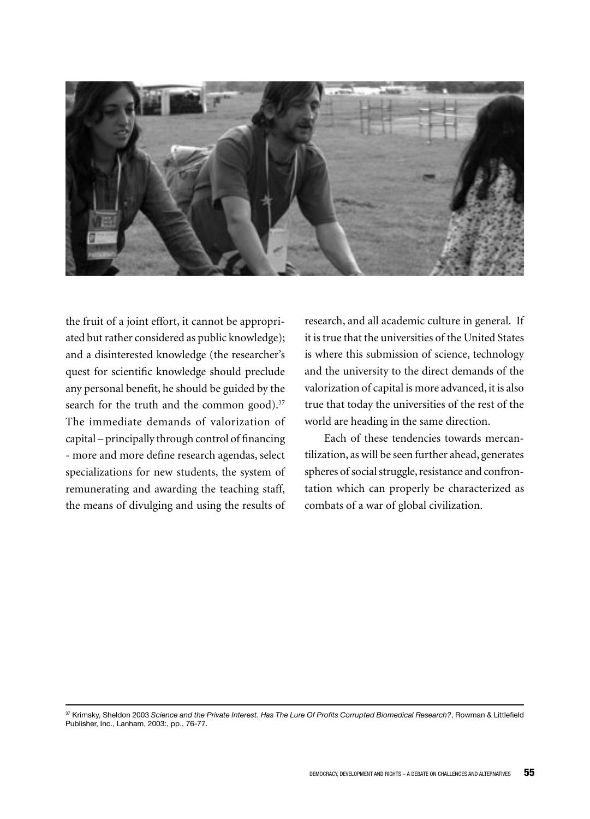

the fruit of a joint effort, it cannot be appropriated but rather considered as public knowledge); and a disinterested knowledge (the researcher's quest for scientific knowledge should preclude any personal benefit, he should be guided by the search for the truth and the common good).<sup>37</sup> The immediate demands of valorization of capital – principally through control of financing - more and more define research agendas, select specializations for new students, the system of remunerating and awarding the teaching staff, the means of divulging and using the results of research, and all academic culture in general. If it is true that the universities of the United States is where this submission of science, technology and the university to the direct demands of the valorization of capital is more advanced, it is also true that today the universities of the rest of the world are heading in the same direction.

Each of these tendencies towards mercantilization, as will be seen further ahead, generates spheres of social struggle, resistance and confrontation which can properly be characterized as combats of a war of global civilization.

<sup>37</sup> Krimsky, Sheldon 2003 *Science and the Private Interest. Has The Lure Of Profits Corrupted Biomedical Research?*, Rowman & Littlefield Publisher, Inc., Lanham, 2003:, pp., 76-77.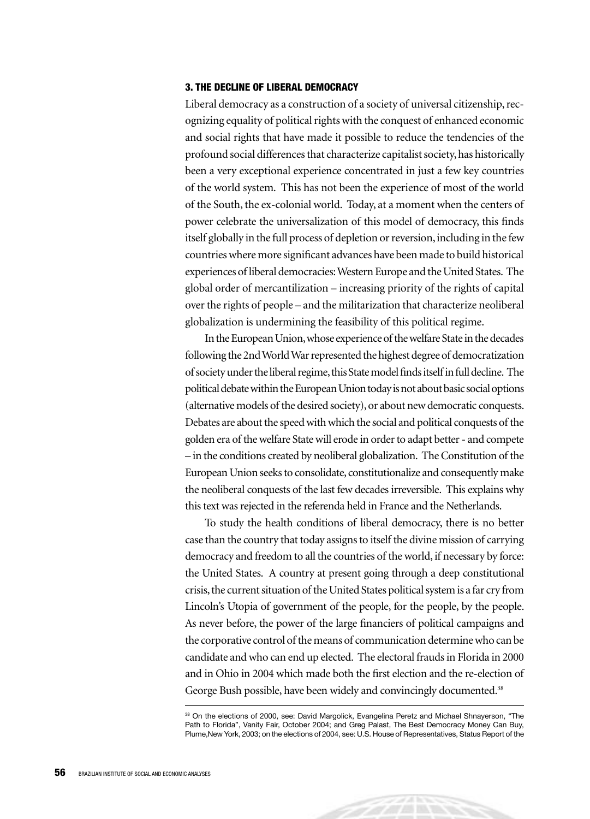#### 3. THE DECLINE OF LIBERAL DEMOCRACY

Liberal democracy as a construction of a society of universal citizenship, recognizing equality of political rights with the conquest of enhanced economic and social rights that have made it possible to reduce the tendencies of the profound social differences that characterize capitalist society, has historically been a very exceptional experience concentrated in just a few key countries of the world system. This has not been the experience of most of the world of the South, the ex-colonial world. Today, at a moment when the centers of power celebrate the universalization of this model of democracy, this finds itself globally in the full process of depletion or reversion, including in the few countries where more significant advances have been made to build historical experiences of liberal democracies: Western Europe and the United States. The global order of mercantilization – increasing priority of the rights of capital over the rights of people – and the militarization that characterize neoliberal globalization is undermining the feasibility of this political regime.

In the European Union, whose experience of the welfare State in the decades following the 2nd World War represented the highest degree of democratization of society under the liberal regime, this State model finds itself in full decline. The political debate within the European Union today is not about basic social options (alternative models of the desired society), or about new democratic conquests. Debates are about the speed with which the social and political conquests of the golden era of the welfare State will erode in order to adapt better - and compete – in the conditions created by neoliberal globalization. The Constitution of the European Union seeks to consolidate, constitutionalize and consequently make the neoliberal conquests of the last few decades irreversible. This explains why this text was rejected in the referenda held in France and the Netherlands.

To study the health conditions of liberal democracy, there is no better case than the country that today assigns to itself the divine mission of carrying democracy and freedom to all the countries of the world, if necessary by force: the United States. A country at present going through a deep constitutional crisis, the current situation of the United States political system is a far cry from Lincoln's Utopia of government of the people, for the people, by the people. As never before, the power of the large financiers of political campaigns and the corporative control of the means of communication determine who can be candidate and who can end up elected. The electoral frauds in Florida in 2000 and in Ohio in 2004 which made both the first election and the re-election of George Bush possible, have been widely and convincingly documented.<sup>38</sup>

**ANY AND THE VIOLA** 

<sup>38</sup> On the elections of 2000, see: David Margolick, Evangelina Peretz and Michael Shnayerson, "The Path to Florida", Vanity Fair, October 2004; and Greg Palast, The Best Democracy Money Can Buy, Plume,New York, 2003; on the elections of 2004, see: U.S. House of Representatives, Status Report of the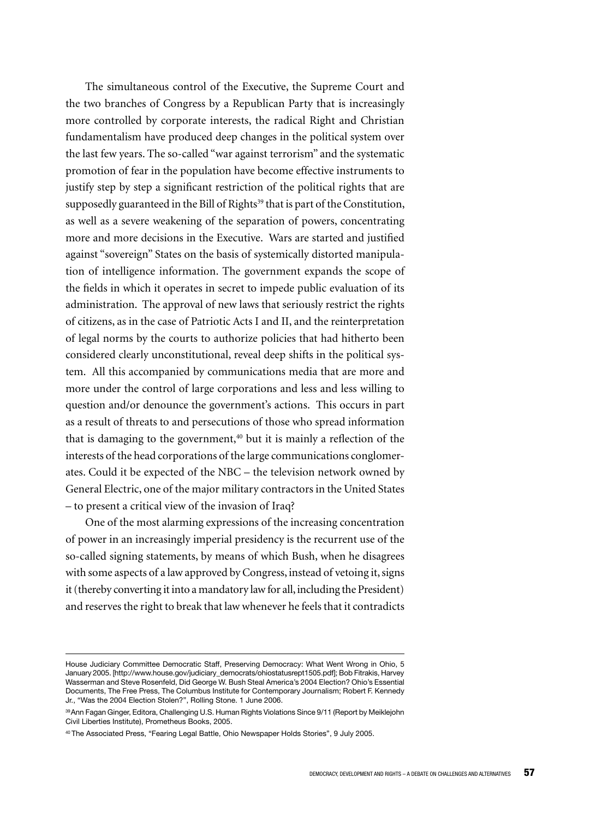The simultaneous control of the Executive, the Supreme Court and the two branches of Congress by a Republican Party that is increasingly more controlled by corporate interests, the radical Right and Christian fundamentalism have produced deep changes in the political system over the last few years. The so-called "war against terrorism" and the systematic promotion of fear in the population have become effective instruments to justify step by step a significant restriction of the political rights that are supposedly guaranteed in the Bill of Rights<sup>39</sup> that is part of the Constitution, as well as a severe weakening of the separation of powers, concentrating more and more decisions in the Executive. Wars are started and justified against "sovereign" States on the basis of systemically distorted manipulation of intelligence information. The government expands the scope of the fields in which it operates in secret to impede public evaluation of its administration. The approval of new laws that seriously restrict the rights of citizens, as in the case of Patriotic Acts I and II, and the reinterpretation of legal norms by the courts to authorize policies that had hitherto been considered clearly unconstitutional, reveal deep shifts in the political system. All this accompanied by communications media that are more and more under the control of large corporations and less and less willing to question and/or denounce the government's actions. This occurs in part as a result of threats to and persecutions of those who spread information that is damaging to the government, $40$  but it is mainly a reflection of the interests of the head corporations of the large communications conglomerates. Could it be expected of the NBC – the television network owned by General Electric, one of the major military contractors in the United States – to present a critical view of the invasion of Iraq?

One of the most alarming expressions of the increasing concentration of power in an increasingly imperial presidency is the recurrent use of the so-called signing statements, by means of which Bush, when he disagrees with some aspects of a law approved by Congress, instead of vetoing it, signs it (thereby converting it into a mandatory law for all, including the President) and reserves the right to break that law whenever he feels that it contradicts

House Judiciary Committee Democratic Staff, Preserving Democracy: What Went Wrong in Ohio, 5 January 2005. [http://www.house.gov/judiciary\_democrats/ohiostatusrept1505.pdf]; Bob Fitrakis, Harvey Wasserman and Steve Rosenfeld, Did George W. Bush Steal America's 2004 Election? Ohio's Essential Documents, The Free Press, The Columbus Institute for Contemporary Journalism; Robert F. Kennedy Jr., "Was the 2004 Election Stolen?", Rolling Stone. 1 June 2006.

<sup>39</sup> Ann Fagan Ginger, Editora, Challenging U.S. Human Rights Violations Since 9/11 (Report by Meiklejohn Civil Liberties Institute), Prometheus Books, 2005.

<sup>40</sup> The Associated Press, "Fearing Legal Battle, Ohio Newspaper Holds Stories", 9 July 2005.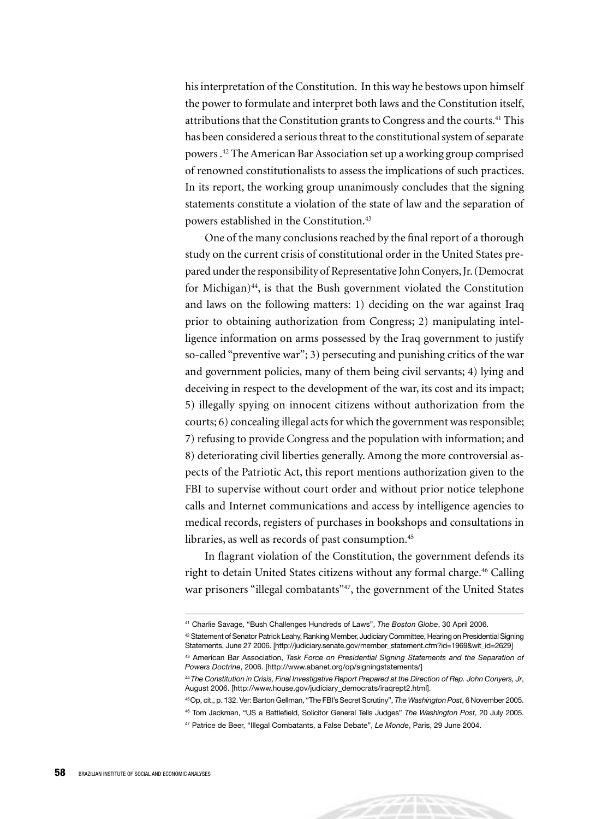his interpretation of the Constitution. In this way he bestows upon himself the power to formulate and interpret both laws and the Constitution itself, attributions that the Constitution grants to Congress and the courts.41 This has been considered a serious threat to the constitutional system of separate powers .42 The American Bar Association set up a working group comprised of renowned constitutionalists to assess the implications of such practices. In its report, the working group unanimously concludes that the signing statements constitute a violation of the state of law and the separation of powers established in the Constitution.43

One of the many conclusions reached by the final report of a thorough study on the current crisis of constitutional order in the United States prepared under the responsibility of Representative John Conyers, Jr. (Democrat for Michigan)<sup>44</sup>, is that the Bush government violated the Constitution and laws on the following matters: 1) deciding on the war against Iraq prior to obtaining authorization from Congress; 2) manipulating intelligence information on arms possessed by the Iraq government to justify so-called "preventive war"; 3) persecuting and punishing critics of the war and government policies, many of them being civil servants; 4) lying and deceiving in respect to the development of the war, its cost and its impact; 5) illegally spying on innocent citizens without authorization from the courts; 6) concealing illegal acts for which the government was responsible; 7) refusing to provide Congress and the population with information; and 8) deteriorating civil liberties generally. Among the more controversial aspects of the Patriotic Act, this report mentions authorization given to the FBI to supervise without court order and without prior notice telephone calls and Internet communications and access by intelligence agencies to medical records, registers of purchases in bookshops and consultations in libraries, as well as records of past consumption.<sup>45</sup>

In flagrant violation of the Constitution, the government defends its right to detain United States citizens without any formal charge.<sup>46</sup> Calling war prisoners "illegal combatants"<sup>47</sup>, the government of the United States

<sup>41</sup> Charlie Savage, "Bush Challenges Hundreds of Laws", *The Boston Globe*, 30 April 2006.

<sup>42</sup> Statement of Senator Patrick Leahy, Ranking Member, Judiciary Committee, Hearing on Presidential Signing Statements, June 27 2006. [http://judiciary.senate.gov/member\_statement.cfm?id=1969&wit\_id=2629]

<sup>43</sup> American Bar Association, *Task Force on Presidential Signing Statements and the Separation of Powers Doctrine*, 2006. [http://www.abanet.org/op/signingstatements/]

<sup>44</sup>*The Constitution in Crisis, Final Investigative Report Prepared at the Direction of Rep. John Conyers, Jr*, August 2006. [http://www.house.gov/judiciary\_democrats/iraqrept2.html].

<sup>45</sup> Op, cit., p. 132. Ver: Barton Gellman, "The FBI's Secret Scrutiny", *The Washington Post*, 6 November 2005.

<sup>46</sup> Tom Jackman, "US a Battlefield, Solicitor General Tells Judges" *The Washington Post*, 20 July 2005. 47 Patrice de Beer, "Illegal Combatants, a False Debate", *Le Monde*, Paris, 29 June 2004.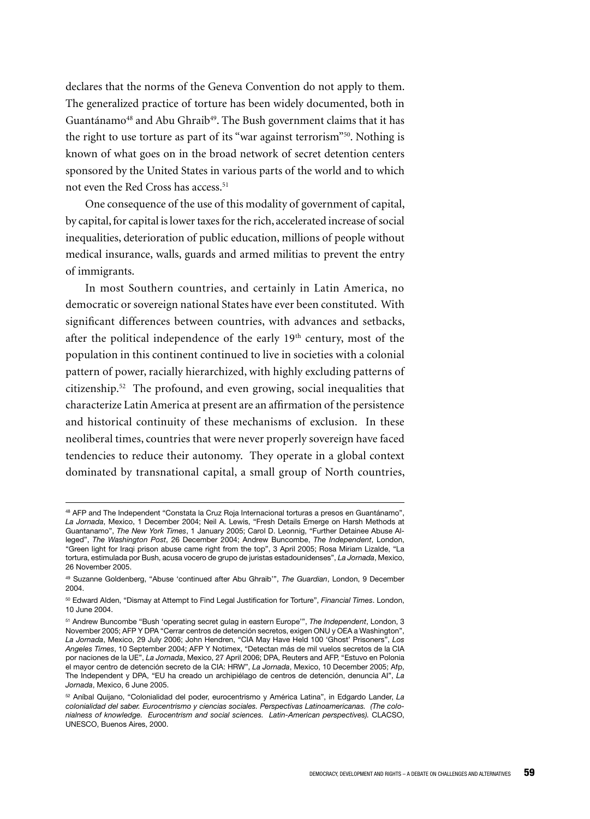declares that the norms of the Geneva Convention do not apply to them. The generalized practice of torture has been widely documented, both in Guantánamo<sup>48</sup> and Abu Ghraib<sup>49</sup>. The Bush government claims that it has the right to use torture as part of its "war against terrorism"50. Nothing is known of what goes on in the broad network of secret detention centers sponsored by the United States in various parts of the world and to which not even the Red Cross has access.<sup>51</sup>

One consequence of the use of this modality of government of capital, by capital, for capital is lower taxes for the rich, accelerated increase of social inequalities, deterioration of public education, millions of people without medical insurance, walls, guards and armed militias to prevent the entry of immigrants.

In most Southern countries, and certainly in Latin America, no democratic or sovereign national States have ever been constituted. With significant differences between countries, with advances and setbacks, after the political independence of the early 19th century, most of the population in this continent continued to live in societies with a colonial pattern of power, racially hierarchized, with highly excluding patterns of citizenship.52 The profound, and even growing, social inequalities that characterize Latin America at present are an affirmation of the persistence and historical continuity of these mechanisms of exclusion. In these neoliberal times, countries that were never properly sovereign have faced tendencies to reduce their autonomy. They operate in a global context dominated by transnational capital, a small group of North countries,

<sup>48</sup> AFP and The Independent "Constata la Cruz Roja Internacional torturas a presos en Guantánamo", *La Jornada*, Mexico, 1 December 2004; Neil A. Lewis, "Fresh Details Emerge on Harsh Methods at Guantanamo", *The New York Times*, 1 January 2005; Carol D. Leonnig, "Further Detainee Abuse Alleged", *The Washington Post*, 26 December 2004; Andrew Buncombe, *The Independent*, London, "Green light for Iraqi prison abuse came right from the top", 3 April 2005; Rosa Miriam Lizalde, "La tortura, estimulada por Bush, acusa vocero de grupo de juristas estadounidenses", *La Jornada*, Mexico, 26 November 2005.

<sup>49</sup> Suzanne Goldenberg, "Abuse 'continued after Abu Ghraib'", *The Guardian*, London, 9 December 2004.

<sup>50</sup> Edward Alden, "Dismay at Attempt to Find Legal Justification for Torture", *Financial Times*. London, 10 June 2004.

<sup>51</sup> Andrew Buncombe "Bush 'operating secret gulag in eastern Europe'", *The Independent*, London, 3 November 2005; AFP Y DPA "Cerrar centros de detención secretos, exigen ONU y OEA a Washington", *La Jornada*, Mexico, 29 July 2006; John Hendren, "CIA May Have Held 100 'Ghost' Prisoners", *Los Angeles Times*, 10 September 2004; AFP Y Notimex, "Detectan más de mil vuelos secretos de la CIA por naciones de la UE", *La Jornada*, Mexico, 27 April 2006; DPA, Reuters and AFP, "Estuvo en Polonia el mayor centro de detención secreto de la CIA: HRW", *La Jornada*, Mexico, 10 December 2005; Afp, The Independent y DPA, "EU ha creado un archipiélago de centros de detención, denuncia AI", *La Jornada*, Mexico, 6 June 2005.

<sup>52</sup> Aníbal Quijano, "Colonialidad del poder, eurocentrismo y América Latina", in Edgardo Lander, *La colonialidad del saber. Eurocentrismo y ciencias sociales. Perspectivas Latinoamericanas. (The colonialness of knowledge. Eurocentrism and social sciences. Latin-American perspectives).* CLACSO, UNESCO, Buenos Aires, 2000.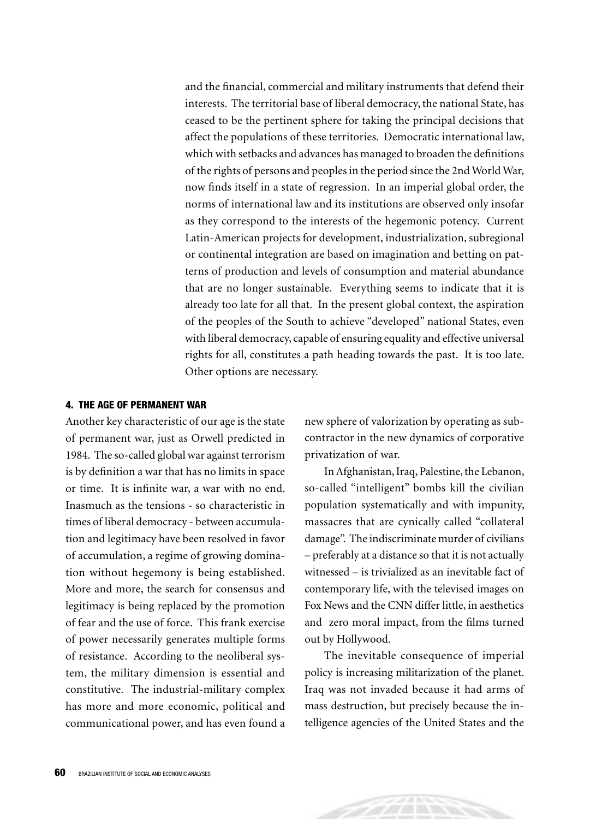and the financial, commercial and military instruments that defend their interests. The territorial base of liberal democracy, the national State, has ceased to be the pertinent sphere for taking the principal decisions that affect the populations of these territories. Democratic international law, which with setbacks and advances has managed to broaden the definitions of the rights of persons and peoples in the period since the 2nd World War, now finds itself in a state of regression. In an imperial global order, the norms of international law and its institutions are observed only insofar as they correspond to the interests of the hegemonic potency. Current Latin-American projects for development, industrialization, subregional or continental integration are based on imagination and betting on patterns of production and levels of consumption and material abundance that are no longer sustainable. Everything seems to indicate that it is already too late for all that. In the present global context, the aspiration of the peoples of the South to achieve "developed" national States, even with liberal democracy, capable of ensuring equality and effective universal rights for all, constitutes a path heading towards the past. It is too late. Other options are necessary.

### 4. THE AGE OF PERMANENT WAR

Another key characteristic of our age is the state of permanent war, just as Orwell predicted in 1984. The so-called global war against terrorism is by definition a war that has no limits in space or time. It is infinite war, a war with no end. Inasmuch as the tensions - so characteristic in times of liberal democracy - between accumulation and legitimacy have been resolved in favor of accumulation, a regime of growing domination without hegemony is being established. More and more, the search for consensus and legitimacy is being replaced by the promotion of fear and the use of force. This frank exercise of power necessarily generates multiple forms of resistance. According to the neoliberal system, the military dimension is essential and constitutive. The industrial-military complex has more and more economic, political and communicational power, and has even found a

new sphere of valorization by operating as subcontractor in the new dynamics of corporative privatization of war.

In Afghanistan, Iraq, Palestine, the Lebanon, so-called "intelligent" bombs kill the civilian population systematically and with impunity, massacres that are cynically called "collateral damage". The indiscriminate murder of civilians – preferably at a distance so that it is not actually witnessed – is trivialized as an inevitable fact of contemporary life, with the televised images on Fox News and the CNN differ little, in aesthetics and zero moral impact, from the films turned out by Hollywood.

The inevitable consequence of imperial policy is increasing militarization of the planet. Iraq was not invaded because it had arms of mass destruction, but precisely because the intelligence agencies of the United States and the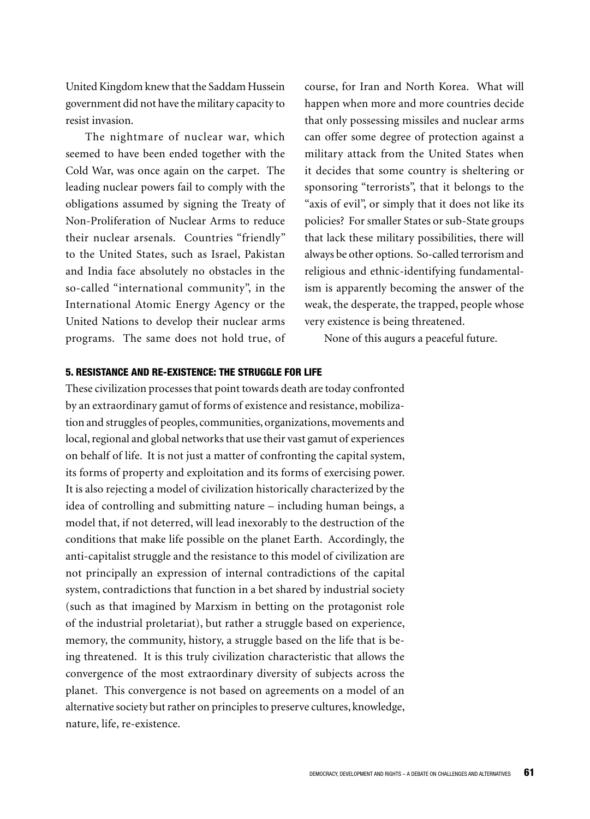United Kingdom knew that the Saddam Hussein government did not have the military capacity to resist invasion.

The nightmare of nuclear war, which seemed to have been ended together with the Cold War, was once again on the carpet. The leading nuclear powers fail to comply with the obligations assumed by signing the Treaty of Non-Proliferation of Nuclear Arms to reduce their nuclear arsenals. Countries "friendly" to the United States, such as Israel, Pakistan and India face absolutely no obstacles in the so-called "international community", in the International Atomic Energy Agency or the United Nations to develop their nuclear arms programs. The same does not hold true, of

course, for Iran and North Korea. What will happen when more and more countries decide that only possessing missiles and nuclear arms can offer some degree of protection against a military attack from the United States when it decides that some country is sheltering or sponsoring "terrorists", that it belongs to the "axis of evil", or simply that it does not like its policies? For smaller States or sub-State groups that lack these military possibilities, there will always be other options. So-called terrorism and religious and ethnic-identifying fundamentalism is apparently becoming the answer of the weak, the desperate, the trapped, people whose very existence is being threatened.

None of this augurs a peaceful future.

#### 5. RESISTANCE AND RE-EXISTENCE: THE STRUGGLE FOR LIFE

These civilization processes that point towards death are today confronted by an extraordinary gamut of forms of existence and resistance, mobilization and struggles of peoples, communities, organizations, movements and local, regional and global networks that use their vast gamut of experiences on behalf of life. It is not just a matter of confronting the capital system, its forms of property and exploitation and its forms of exercising power. It is also rejecting a model of civilization historically characterized by the idea of controlling and submitting nature – including human beings, a model that, if not deterred, will lead inexorably to the destruction of the conditions that make life possible on the planet Earth. Accordingly, the anti-capitalist struggle and the resistance to this model of civilization are not principally an expression of internal contradictions of the capital system, contradictions that function in a bet shared by industrial society (such as that imagined by Marxism in betting on the protagonist role of the industrial proletariat), but rather a struggle based on experience, memory, the community, history, a struggle based on the life that is being threatened. It is this truly civilization characteristic that allows the convergence of the most extraordinary diversity of subjects across the planet. This convergence is not based on agreements on a model of an alternative society but rather on principles to preserve cultures, knowledge, nature, life, re-existence.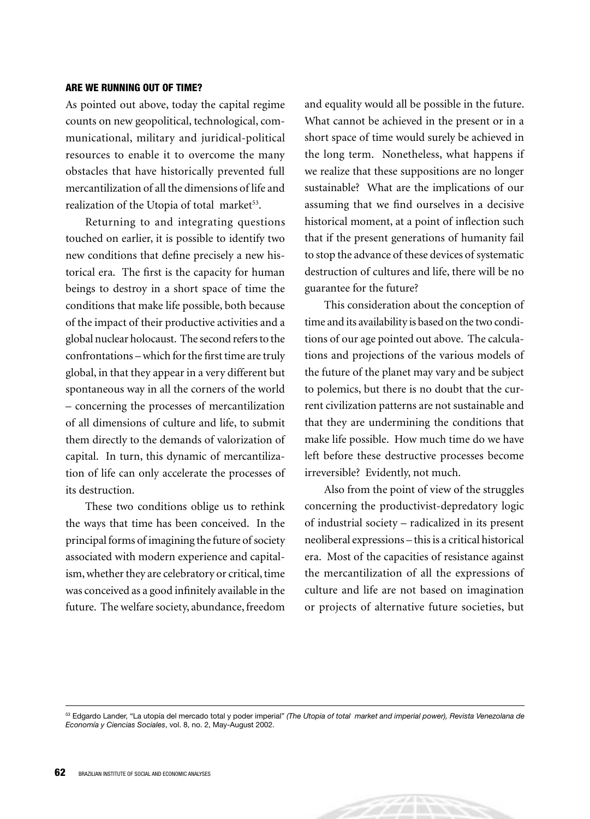#### ARE WE RUNNING OUT OF TIME?

As pointed out above, today the capital regime counts on new geopolitical, technological, communicational, military and juridical-political resources to enable it to overcome the many obstacles that have historically prevented full mercantilization of all the dimensions of life and realization of the Utopia of total market<sup>53</sup>.

Returning to and integrating questions touched on earlier, it is possible to identify two new conditions that define precisely a new historical era. The first is the capacity for human beings to destroy in a short space of time the conditions that make life possible, both because of the impact of their productive activities and a global nuclear holocaust. The second refers to the confrontations – which for the first time are truly global, in that they appear in a very different but spontaneous way in all the corners of the world – concerning the processes of mercantilization of all dimensions of culture and life, to submit them directly to the demands of valorization of capital. In turn, this dynamic of mercantilization of life can only accelerate the processes of its destruction.

These two conditions oblige us to rethink the ways that time has been conceived. In the principal forms of imagining the future of society associated with modern experience and capitalism, whether they are celebratory or critical, time was conceived as a good infinitely available in the future. The welfare society, abundance, freedom

and equality would all be possible in the future. What cannot be achieved in the present or in a short space of time would surely be achieved in the long term. Nonetheless, what happens if we realize that these suppositions are no longer sustainable? What are the implications of our assuming that we find ourselves in a decisive historical moment, at a point of inflection such that if the present generations of humanity fail to stop the advance of these devices of systematic destruction of cultures and life, there will be no guarantee for the future?

This consideration about the conception of time and its availability is based on the two conditions of our age pointed out above. The calculations and projections of the various models of the future of the planet may vary and be subject to polemics, but there is no doubt that the current civilization patterns are not sustainable and that they are undermining the conditions that make life possible. How much time do we have left before these destructive processes become irreversible? Evidently, not much.

Also from the point of view of the struggles concerning the productivist-depredatory logic of industrial society – radicalized in its present neoliberal expressions – this is a critical historical era. Most of the capacities of resistance against the mercantilization of all the expressions of culture and life are not based on imagination or projects of alternative future societies, but

<sup>53</sup> Edgardo Lander, "La utopía del mercado total y poder imperial" *(The Utopia of total market and imperial power), Revista Venezolana de Economía y Ciencias Sociales*, vol. 8, no. 2, May-August 2002.